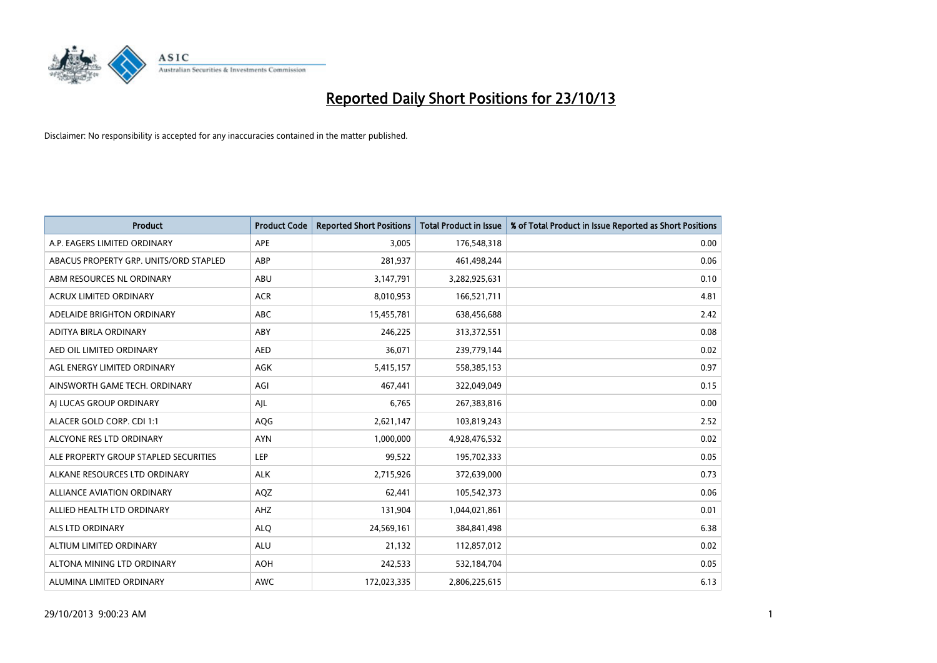

| <b>Product</b>                         | <b>Product Code</b> | <b>Reported Short Positions</b> | <b>Total Product in Issue</b> | % of Total Product in Issue Reported as Short Positions |
|----------------------------------------|---------------------|---------------------------------|-------------------------------|---------------------------------------------------------|
| A.P. EAGERS LIMITED ORDINARY           | <b>APE</b>          | 3,005                           | 176,548,318                   | 0.00                                                    |
| ABACUS PROPERTY GRP. UNITS/ORD STAPLED | ABP                 | 281,937                         | 461,498,244                   | 0.06                                                    |
| ABM RESOURCES NL ORDINARY              | ABU                 | 3,147,791                       | 3,282,925,631                 | 0.10                                                    |
| ACRUX LIMITED ORDINARY                 | <b>ACR</b>          | 8,010,953                       | 166,521,711                   | 4.81                                                    |
| ADELAIDE BRIGHTON ORDINARY             | <b>ABC</b>          | 15,455,781                      | 638,456,688                   | 2.42                                                    |
| ADITYA BIRLA ORDINARY                  | ABY                 | 246,225                         | 313,372,551                   | 0.08                                                    |
| AED OIL LIMITED ORDINARY               | <b>AED</b>          | 36,071                          | 239,779,144                   | 0.02                                                    |
| AGL ENERGY LIMITED ORDINARY            | AGK                 | 5,415,157                       | 558,385,153                   | 0.97                                                    |
| AINSWORTH GAME TECH. ORDINARY          | AGI                 | 467,441                         | 322,049,049                   | 0.15                                                    |
| AI LUCAS GROUP ORDINARY                | AJL                 | 6,765                           | 267,383,816                   | 0.00                                                    |
| ALACER GOLD CORP. CDI 1:1              | AQG                 | 2,621,147                       | 103,819,243                   | 2.52                                                    |
| ALCYONE RES LTD ORDINARY               | <b>AYN</b>          | 1,000,000                       | 4,928,476,532                 | 0.02                                                    |
| ALE PROPERTY GROUP STAPLED SECURITIES  | <b>LEP</b>          | 99,522                          | 195,702,333                   | 0.05                                                    |
| ALKANE RESOURCES LTD ORDINARY          | <b>ALK</b>          | 2,715,926                       | 372,639,000                   | 0.73                                                    |
| <b>ALLIANCE AVIATION ORDINARY</b>      | AQZ                 | 62,441                          | 105,542,373                   | 0.06                                                    |
| ALLIED HEALTH LTD ORDINARY             | AHZ                 | 131,904                         | 1,044,021,861                 | 0.01                                                    |
| ALS LTD ORDINARY                       | <b>ALQ</b>          | 24,569,161                      | 384, 841, 498                 | 6.38                                                    |
| ALTIUM LIMITED ORDINARY                | <b>ALU</b>          | 21,132                          | 112,857,012                   | 0.02                                                    |
| ALTONA MINING LTD ORDINARY             | <b>AOH</b>          | 242,533                         | 532,184,704                   | 0.05                                                    |
| ALUMINA LIMITED ORDINARY               | <b>AWC</b>          | 172,023,335                     | 2,806,225,615                 | 6.13                                                    |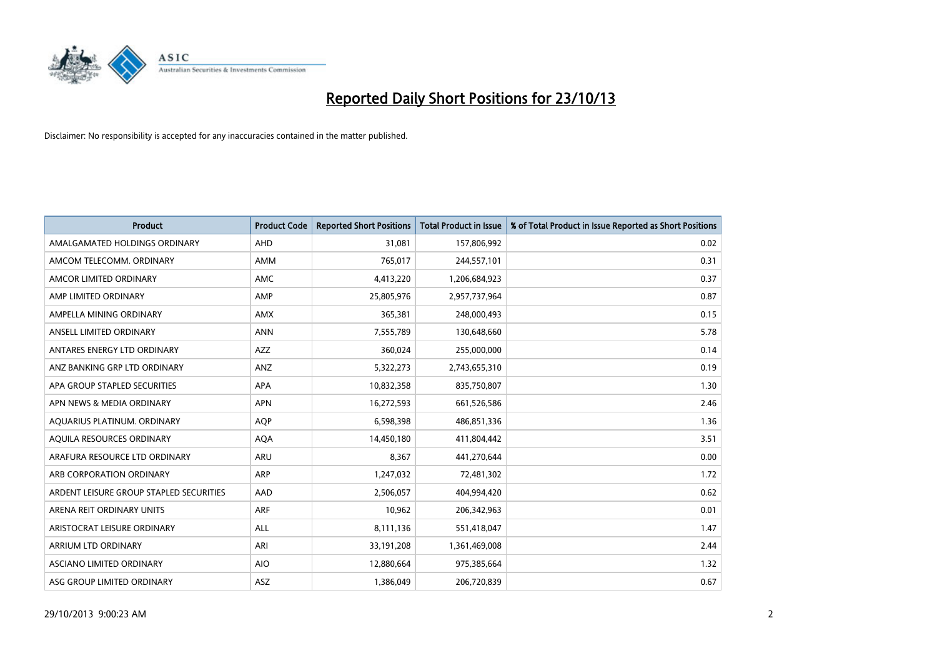

| <b>Product</b>                          | <b>Product Code</b> | <b>Reported Short Positions</b> | <b>Total Product in Issue</b> | % of Total Product in Issue Reported as Short Positions |
|-----------------------------------------|---------------------|---------------------------------|-------------------------------|---------------------------------------------------------|
| AMALGAMATED HOLDINGS ORDINARY           | AHD                 | 31,081                          | 157,806,992                   | 0.02                                                    |
| AMCOM TELECOMM. ORDINARY                | AMM                 | 765,017                         | 244,557,101                   | 0.31                                                    |
| AMCOR LIMITED ORDINARY                  | AMC                 | 4,413,220                       | 1,206,684,923                 | 0.37                                                    |
| AMP LIMITED ORDINARY                    | AMP                 | 25,805,976                      | 2,957,737,964                 | 0.87                                                    |
| AMPELLA MINING ORDINARY                 | <b>AMX</b>          | 365,381                         | 248,000,493                   | 0.15                                                    |
| ANSELL LIMITED ORDINARY                 | <b>ANN</b>          | 7,555,789                       | 130,648,660                   | 5.78                                                    |
| ANTARES ENERGY LTD ORDINARY             | AZZ                 | 360,024                         | 255,000,000                   | 0.14                                                    |
| ANZ BANKING GRP LTD ORDINARY            | ANZ                 | 5,322,273                       | 2,743,655,310                 | 0.19                                                    |
| APA GROUP STAPLED SECURITIES            | <b>APA</b>          | 10,832,358                      | 835,750,807                   | 1.30                                                    |
| APN NEWS & MEDIA ORDINARY               | <b>APN</b>          | 16,272,593                      | 661,526,586                   | 2.46                                                    |
| AQUARIUS PLATINUM. ORDINARY             | <b>AOP</b>          | 6,598,398                       | 486,851,336                   | 1.36                                                    |
| AQUILA RESOURCES ORDINARY               | <b>AQA</b>          | 14,450,180                      | 411,804,442                   | 3.51                                                    |
| ARAFURA RESOURCE LTD ORDINARY           | ARU                 | 8,367                           | 441,270,644                   | 0.00                                                    |
| ARB CORPORATION ORDINARY                | ARP                 | 1,247,032                       | 72,481,302                    | 1.72                                                    |
| ARDENT LEISURE GROUP STAPLED SECURITIES | AAD                 | 2,506,057                       | 404,994,420                   | 0.62                                                    |
| ARENA REIT ORDINARY UNITS               | <b>ARF</b>          | 10,962                          | 206,342,963                   | 0.01                                                    |
| ARISTOCRAT LEISURE ORDINARY             | ALL                 | 8,111,136                       | 551,418,047                   | 1.47                                                    |
| ARRIUM LTD ORDINARY                     | ARI                 | 33,191,208                      | 1,361,469,008                 | 2.44                                                    |
| ASCIANO LIMITED ORDINARY                | <b>AIO</b>          | 12,880,664                      | 975,385,664                   | 1.32                                                    |
| ASG GROUP LIMITED ORDINARY              | ASZ                 | 1,386,049                       | 206,720,839                   | 0.67                                                    |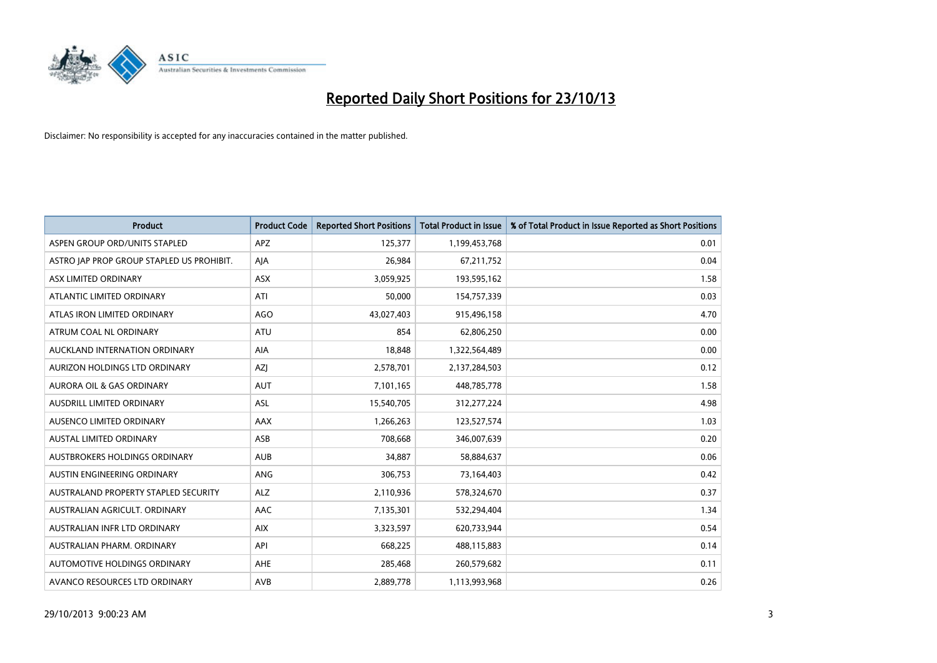

| <b>Product</b>                            | <b>Product Code</b> | <b>Reported Short Positions</b> | <b>Total Product in Issue</b> | % of Total Product in Issue Reported as Short Positions |
|-------------------------------------------|---------------------|---------------------------------|-------------------------------|---------------------------------------------------------|
| ASPEN GROUP ORD/UNITS STAPLED             | <b>APZ</b>          | 125,377                         | 1,199,453,768                 | 0.01                                                    |
| ASTRO JAP PROP GROUP STAPLED US PROHIBIT. | AJA                 | 26,984                          | 67,211,752                    | 0.04                                                    |
| ASX LIMITED ORDINARY                      | ASX                 | 3,059,925                       | 193,595,162                   | 1.58                                                    |
| ATLANTIC LIMITED ORDINARY                 | ATI                 | 50,000                          | 154,757,339                   | 0.03                                                    |
| ATLAS IRON LIMITED ORDINARY               | AGO                 | 43,027,403                      | 915,496,158                   | 4.70                                                    |
| ATRUM COAL NL ORDINARY                    | ATU                 | 854                             | 62,806,250                    | 0.00                                                    |
| AUCKLAND INTERNATION ORDINARY             | AIA                 | 18,848                          | 1,322,564,489                 | 0.00                                                    |
| AURIZON HOLDINGS LTD ORDINARY             | AZJ                 | 2,578,701                       | 2,137,284,503                 | 0.12                                                    |
| <b>AURORA OIL &amp; GAS ORDINARY</b>      | <b>AUT</b>          | 7,101,165                       | 448,785,778                   | 1.58                                                    |
| AUSDRILL LIMITED ORDINARY                 | <b>ASL</b>          | 15,540,705                      | 312,277,224                   | 4.98                                                    |
| AUSENCO LIMITED ORDINARY                  | AAX                 | 1,266,263                       | 123,527,574                   | 1.03                                                    |
| AUSTAL LIMITED ORDINARY                   | ASB                 | 708,668                         | 346,007,639                   | 0.20                                                    |
| AUSTBROKERS HOLDINGS ORDINARY             | <b>AUB</b>          | 34,887                          | 58,884,637                    | 0.06                                                    |
| AUSTIN ENGINEERING ORDINARY               | ANG                 | 306,753                         | 73,164,403                    | 0.42                                                    |
| AUSTRALAND PROPERTY STAPLED SECURITY      | <b>ALZ</b>          | 2,110,936                       | 578,324,670                   | 0.37                                                    |
| AUSTRALIAN AGRICULT. ORDINARY             | AAC                 | 7,135,301                       | 532,294,404                   | 1.34                                                    |
| AUSTRALIAN INFR LTD ORDINARY              | <b>AIX</b>          | 3,323,597                       | 620,733,944                   | 0.54                                                    |
| AUSTRALIAN PHARM, ORDINARY                | API                 | 668,225                         | 488,115,883                   | 0.14                                                    |
| AUTOMOTIVE HOLDINGS ORDINARY              | AHE                 | 285,468                         | 260,579,682                   | 0.11                                                    |
| AVANCO RESOURCES LTD ORDINARY             | AVB                 | 2,889,778                       | 1,113,993,968                 | 0.26                                                    |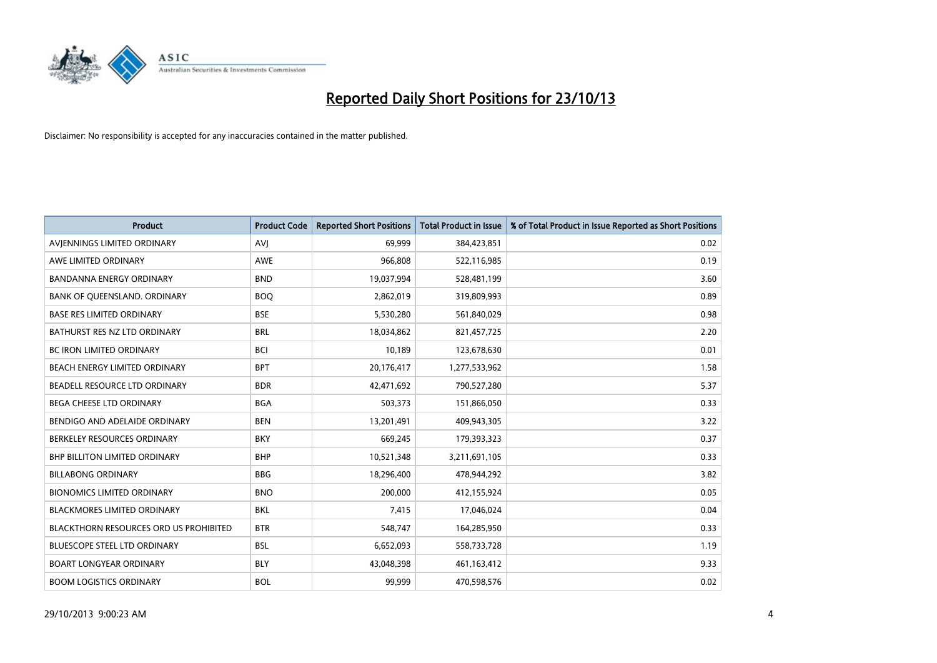

| <b>Product</b>                         | <b>Product Code</b> | <b>Reported Short Positions</b> | <b>Total Product in Issue</b> | % of Total Product in Issue Reported as Short Positions |
|----------------------------------------|---------------------|---------------------------------|-------------------------------|---------------------------------------------------------|
| AVIENNINGS LIMITED ORDINARY            | <b>AVJ</b>          | 69,999                          | 384,423,851                   | 0.02                                                    |
| AWE LIMITED ORDINARY                   | AWE                 | 966,808                         | 522,116,985                   | 0.19                                                    |
| <b>BANDANNA ENERGY ORDINARY</b>        | <b>BND</b>          | 19,037,994                      | 528,481,199                   | 3.60                                                    |
| BANK OF QUEENSLAND. ORDINARY           | <b>BOO</b>          | 2,862,019                       | 319,809,993                   | 0.89                                                    |
| <b>BASE RES LIMITED ORDINARY</b>       | <b>BSE</b>          | 5,530,280                       | 561,840,029                   | 0.98                                                    |
| BATHURST RES NZ LTD ORDINARY           | <b>BRL</b>          | 18,034,862                      | 821,457,725                   | 2.20                                                    |
| <b>BC IRON LIMITED ORDINARY</b>        | <b>BCI</b>          | 10,189                          | 123,678,630                   | 0.01                                                    |
| BEACH ENERGY LIMITED ORDINARY          | <b>BPT</b>          | 20,176,417                      | 1,277,533,962                 | 1.58                                                    |
| BEADELL RESOURCE LTD ORDINARY          | <b>BDR</b>          | 42,471,692                      | 790,527,280                   | 5.37                                                    |
| <b>BEGA CHEESE LTD ORDINARY</b>        | <b>BGA</b>          | 503,373                         | 151,866,050                   | 0.33                                                    |
| BENDIGO AND ADELAIDE ORDINARY          | <b>BEN</b>          | 13,201,491                      | 409,943,305                   | 3.22                                                    |
| BERKELEY RESOURCES ORDINARY            | <b>BKY</b>          | 669,245                         | 179,393,323                   | 0.37                                                    |
| <b>BHP BILLITON LIMITED ORDINARY</b>   | <b>BHP</b>          | 10,521,348                      | 3,211,691,105                 | 0.33                                                    |
| <b>BILLABONG ORDINARY</b>              | BBG                 | 18,296,400                      | 478,944,292                   | 3.82                                                    |
| <b>BIONOMICS LIMITED ORDINARY</b>      | <b>BNO</b>          | 200,000                         | 412,155,924                   | 0.05                                                    |
| BLACKMORES LIMITED ORDINARY            | <b>BKL</b>          | 7,415                           | 17,046,024                    | 0.04                                                    |
| BLACKTHORN RESOURCES ORD US PROHIBITED | <b>BTR</b>          | 548,747                         | 164,285,950                   | 0.33                                                    |
| BLUESCOPE STEEL LTD ORDINARY           | <b>BSL</b>          | 6,652,093                       | 558,733,728                   | 1.19                                                    |
| <b>BOART LONGYEAR ORDINARY</b>         | <b>BLY</b>          | 43,048,398                      | 461,163,412                   | 9.33                                                    |
| <b>BOOM LOGISTICS ORDINARY</b>         | <b>BOL</b>          | 99,999                          | 470,598,576                   | 0.02                                                    |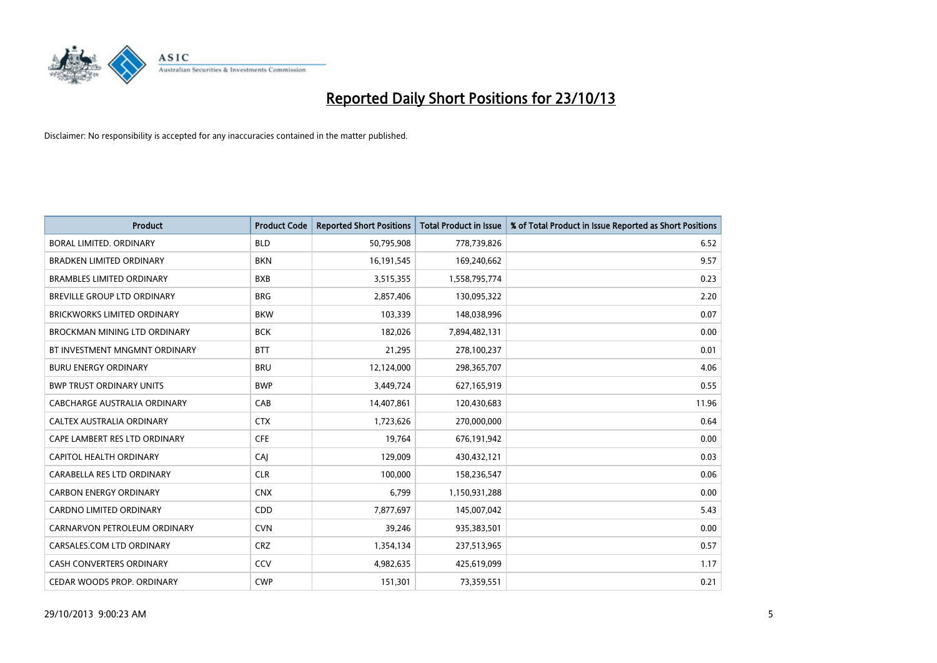

| <b>Product</b>                      | <b>Product Code</b> | <b>Reported Short Positions</b> | <b>Total Product in Issue</b> | % of Total Product in Issue Reported as Short Positions |
|-------------------------------------|---------------------|---------------------------------|-------------------------------|---------------------------------------------------------|
| <b>BORAL LIMITED, ORDINARY</b>      | <b>BLD</b>          | 50,795,908                      | 778,739,826                   | 6.52                                                    |
| <b>BRADKEN LIMITED ORDINARY</b>     | <b>BKN</b>          | 16,191,545                      | 169,240,662                   | 9.57                                                    |
| <b>BRAMBLES LIMITED ORDINARY</b>    | <b>BXB</b>          | 3,515,355                       | 1,558,795,774                 | 0.23                                                    |
| BREVILLE GROUP LTD ORDINARY         | <b>BRG</b>          | 2,857,406                       | 130,095,322                   | 2.20                                                    |
| <b>BRICKWORKS LIMITED ORDINARY</b>  | <b>BKW</b>          | 103,339                         | 148,038,996                   | 0.07                                                    |
| <b>BROCKMAN MINING LTD ORDINARY</b> | <b>BCK</b>          | 182,026                         | 7,894,482,131                 | 0.00                                                    |
| BT INVESTMENT MNGMNT ORDINARY       | <b>BTT</b>          | 21,295                          | 278,100,237                   | 0.01                                                    |
| <b>BURU ENERGY ORDINARY</b>         | <b>BRU</b>          | 12,124,000                      | 298,365,707                   | 4.06                                                    |
| <b>BWP TRUST ORDINARY UNITS</b>     | <b>BWP</b>          | 3,449,724                       | 627,165,919                   | 0.55                                                    |
| <b>CABCHARGE AUSTRALIA ORDINARY</b> | CAB                 | 14,407,861                      | 120,430,683                   | 11.96                                                   |
| CALTEX AUSTRALIA ORDINARY           | <b>CTX</b>          | 1,723,626                       | 270,000,000                   | 0.64                                                    |
| CAPE LAMBERT RES LTD ORDINARY       | <b>CFE</b>          | 19,764                          | 676,191,942                   | 0.00                                                    |
| CAPITOL HEALTH ORDINARY             | CAI                 | 129,009                         | 430,432,121                   | 0.03                                                    |
| CARABELLA RES LTD ORDINARY          | <b>CLR</b>          | 100,000                         | 158,236,547                   | 0.06                                                    |
| <b>CARBON ENERGY ORDINARY</b>       | <b>CNX</b>          | 6,799                           | 1,150,931,288                 | 0.00                                                    |
| CARDNO LIMITED ORDINARY             | CDD                 | 7,877,697                       | 145,007,042                   | 5.43                                                    |
| CARNARVON PETROLEUM ORDINARY        | <b>CVN</b>          | 39,246                          | 935,383,501                   | 0.00                                                    |
| CARSALES.COM LTD ORDINARY           | <b>CRZ</b>          | 1,354,134                       | 237,513,965                   | 0.57                                                    |
| <b>CASH CONVERTERS ORDINARY</b>     | CCV                 | 4,982,635                       | 425,619,099                   | 1.17                                                    |
| CEDAR WOODS PROP. ORDINARY          | <b>CWP</b>          | 151,301                         | 73,359,551                    | 0.21                                                    |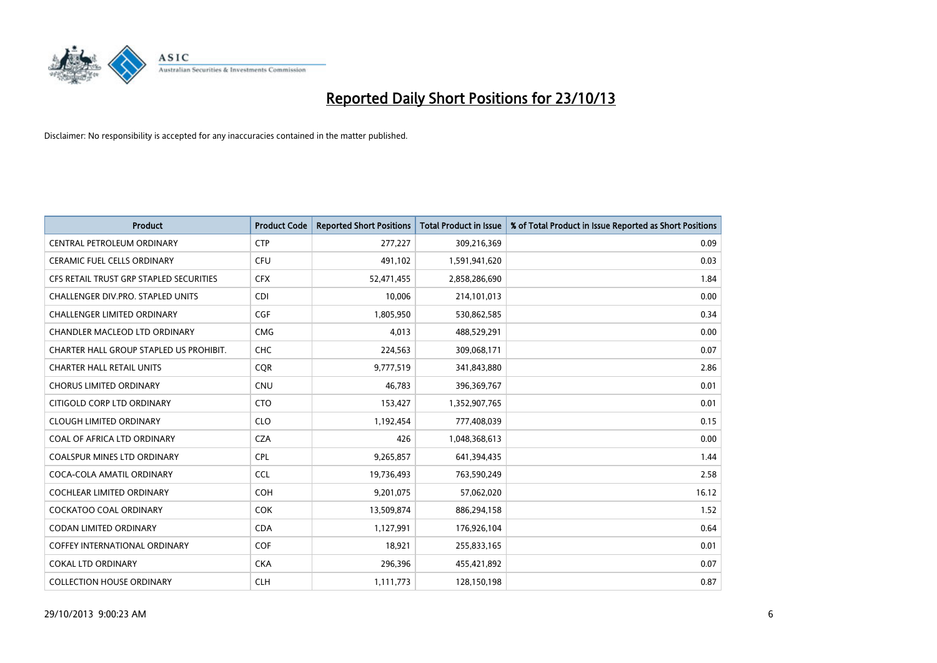

| <b>Product</b>                          | <b>Product Code</b> | <b>Reported Short Positions</b> | <b>Total Product in Issue</b> | % of Total Product in Issue Reported as Short Positions |
|-----------------------------------------|---------------------|---------------------------------|-------------------------------|---------------------------------------------------------|
| CENTRAL PETROLEUM ORDINARY              | <b>CTP</b>          | 277,227                         | 309,216,369                   | 0.09                                                    |
| CERAMIC FUEL CELLS ORDINARY             | <b>CFU</b>          | 491,102                         | 1,591,941,620                 | 0.03                                                    |
| CFS RETAIL TRUST GRP STAPLED SECURITIES | <b>CFX</b>          | 52,471,455                      | 2,858,286,690                 | 1.84                                                    |
| CHALLENGER DIV.PRO. STAPLED UNITS       | <b>CDI</b>          | 10,006                          | 214,101,013                   | 0.00                                                    |
| <b>CHALLENGER LIMITED ORDINARY</b>      | <b>CGF</b>          | 1,805,950                       | 530,862,585                   | 0.34                                                    |
| CHANDLER MACLEOD LTD ORDINARY           | <b>CMG</b>          | 4,013                           | 488,529,291                   | 0.00                                                    |
| CHARTER HALL GROUP STAPLED US PROHIBIT. | <b>CHC</b>          | 224,563                         | 309,068,171                   | 0.07                                                    |
| <b>CHARTER HALL RETAIL UNITS</b>        | <b>CQR</b>          | 9,777,519                       | 341,843,880                   | 2.86                                                    |
| <b>CHORUS LIMITED ORDINARY</b>          | <b>CNU</b>          | 46,783                          | 396,369,767                   | 0.01                                                    |
| CITIGOLD CORP LTD ORDINARY              | <b>CTO</b>          | 153,427                         | 1,352,907,765                 | 0.01                                                    |
| <b>CLOUGH LIMITED ORDINARY</b>          | <b>CLO</b>          | 1,192,454                       | 777,408,039                   | 0.15                                                    |
| COAL OF AFRICA LTD ORDINARY             | <b>CZA</b>          | 426                             | 1,048,368,613                 | 0.00                                                    |
| COALSPUR MINES LTD ORDINARY             | <b>CPL</b>          | 9,265,857                       | 641,394,435                   | 1.44                                                    |
| COCA-COLA AMATIL ORDINARY               | <b>CCL</b>          | 19,736,493                      | 763,590,249                   | 2.58                                                    |
| <b>COCHLEAR LIMITED ORDINARY</b>        | <b>COH</b>          | 9,201,075                       | 57,062,020                    | 16.12                                                   |
| <b>COCKATOO COAL ORDINARY</b>           | <b>COK</b>          | 13,509,874                      | 886,294,158                   | 1.52                                                    |
| <b>CODAN LIMITED ORDINARY</b>           | <b>CDA</b>          | 1,127,991                       | 176,926,104                   | 0.64                                                    |
| <b>COFFEY INTERNATIONAL ORDINARY</b>    | <b>COF</b>          | 18,921                          | 255,833,165                   | 0.01                                                    |
| <b>COKAL LTD ORDINARY</b>               | <b>CKA</b>          | 296,396                         | 455,421,892                   | 0.07                                                    |
| <b>COLLECTION HOUSE ORDINARY</b>        | <b>CLH</b>          | 1,111,773                       | 128,150,198                   | 0.87                                                    |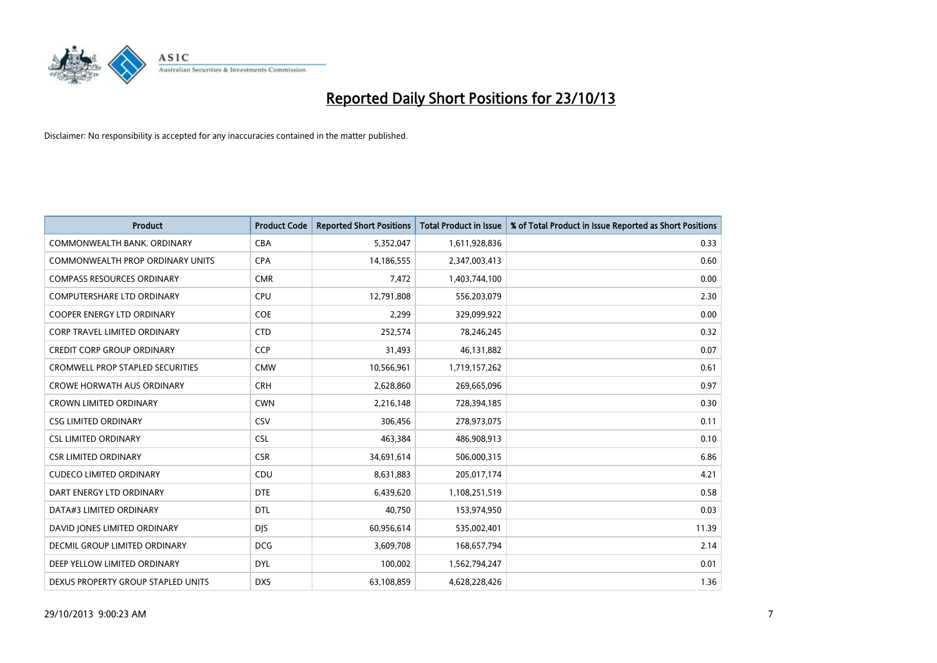

| <b>Product</b>                          | <b>Product Code</b> | <b>Reported Short Positions</b> | <b>Total Product in Issue</b> | % of Total Product in Issue Reported as Short Positions |
|-----------------------------------------|---------------------|---------------------------------|-------------------------------|---------------------------------------------------------|
| COMMONWEALTH BANK, ORDINARY             | <b>CBA</b>          | 5,352,047                       | 1,611,928,836                 | 0.33                                                    |
| <b>COMMONWEALTH PROP ORDINARY UNITS</b> | <b>CPA</b>          | 14,186,555                      | 2,347,003,413                 | 0.60                                                    |
| <b>COMPASS RESOURCES ORDINARY</b>       | <b>CMR</b>          | 7,472                           | 1,403,744,100                 | 0.00                                                    |
| COMPUTERSHARE LTD ORDINARY              | <b>CPU</b>          | 12,791,808                      | 556,203,079                   | 2.30                                                    |
| <b>COOPER ENERGY LTD ORDINARY</b>       | <b>COE</b>          | 2,299                           | 329,099,922                   | 0.00                                                    |
| <b>CORP TRAVEL LIMITED ORDINARY</b>     | <b>CTD</b>          | 252,574                         | 78,246,245                    | 0.32                                                    |
| <b>CREDIT CORP GROUP ORDINARY</b>       | <b>CCP</b>          | 31,493                          | 46,131,882                    | 0.07                                                    |
| <b>CROMWELL PROP STAPLED SECURITIES</b> | <b>CMW</b>          | 10,566,961                      | 1,719,157,262                 | 0.61                                                    |
| <b>CROWE HORWATH AUS ORDINARY</b>       | <b>CRH</b>          | 2,628,860                       | 269,665,096                   | 0.97                                                    |
| <b>CROWN LIMITED ORDINARY</b>           | <b>CWN</b>          | 2,216,148                       | 728,394,185                   | 0.30                                                    |
| <b>CSG LIMITED ORDINARY</b>             | CSV                 | 306,456                         | 278,973,075                   | 0.11                                                    |
| <b>CSL LIMITED ORDINARY</b>             | <b>CSL</b>          | 463,384                         | 486,908,913                   | 0.10                                                    |
| <b>CSR LIMITED ORDINARY</b>             | <b>CSR</b>          | 34,691,614                      | 506,000,315                   | 6.86                                                    |
| <b>CUDECO LIMITED ORDINARY</b>          | CDU                 | 8,631,883                       | 205,017,174                   | 4.21                                                    |
| DART ENERGY LTD ORDINARY                | <b>DTE</b>          | 6,439,620                       | 1,108,251,519                 | 0.58                                                    |
| DATA#3 LIMITED ORDINARY                 | <b>DTL</b>          | 40,750                          | 153,974,950                   | 0.03                                                    |
| DAVID JONES LIMITED ORDINARY            | <b>DJS</b>          | 60,956,614                      | 535,002,401                   | 11.39                                                   |
| <b>DECMIL GROUP LIMITED ORDINARY</b>    | <b>DCG</b>          | 3,609,708                       | 168,657,794                   | 2.14                                                    |
| DEEP YELLOW LIMITED ORDINARY            | <b>DYL</b>          | 100,002                         | 1,562,794,247                 | 0.01                                                    |
| DEXUS PROPERTY GROUP STAPLED UNITS      | <b>DXS</b>          | 63,108,859                      | 4,628,228,426                 | 1.36                                                    |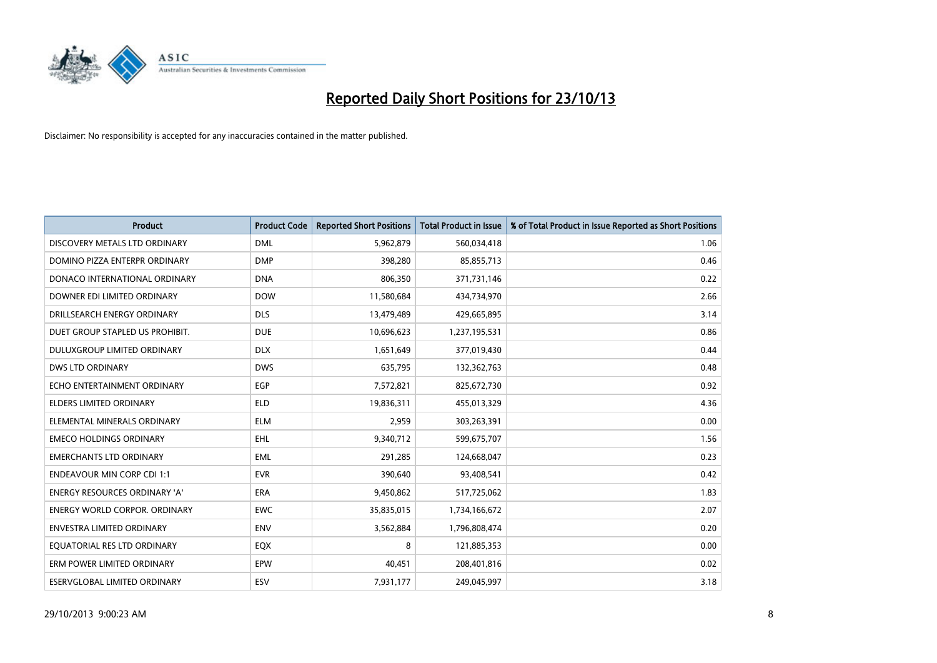

| Product                              | <b>Product Code</b> | <b>Reported Short Positions</b> | <b>Total Product in Issue</b> | % of Total Product in Issue Reported as Short Positions |
|--------------------------------------|---------------------|---------------------------------|-------------------------------|---------------------------------------------------------|
| DISCOVERY METALS LTD ORDINARY        | <b>DML</b>          | 5,962,879                       | 560,034,418                   | 1.06                                                    |
| DOMINO PIZZA ENTERPR ORDINARY        | <b>DMP</b>          | 398,280                         | 85,855,713                    | 0.46                                                    |
| DONACO INTERNATIONAL ORDINARY        | <b>DNA</b>          | 806,350                         | 371,731,146                   | 0.22                                                    |
| DOWNER EDI LIMITED ORDINARY          | <b>DOW</b>          | 11,580,684                      | 434,734,970                   | 2.66                                                    |
| DRILLSEARCH ENERGY ORDINARY          | <b>DLS</b>          | 13,479,489                      | 429,665,895                   | 3.14                                                    |
| DUET GROUP STAPLED US PROHIBIT.      | <b>DUE</b>          | 10,696,623                      | 1,237,195,531                 | 0.86                                                    |
| DULUXGROUP LIMITED ORDINARY          | <b>DLX</b>          | 1,651,649                       | 377,019,430                   | 0.44                                                    |
| DWS LTD ORDINARY                     | <b>DWS</b>          | 635,795                         | 132,362,763                   | 0.48                                                    |
| ECHO ENTERTAINMENT ORDINARY          | <b>EGP</b>          | 7,572,821                       | 825,672,730                   | 0.92                                                    |
| <b>ELDERS LIMITED ORDINARY</b>       | <b>ELD</b>          | 19,836,311                      | 455,013,329                   | 4.36                                                    |
| ELEMENTAL MINERALS ORDINARY          | <b>ELM</b>          | 2,959                           | 303,263,391                   | 0.00                                                    |
| <b>EMECO HOLDINGS ORDINARY</b>       | <b>EHL</b>          | 9,340,712                       | 599,675,707                   | 1.56                                                    |
| <b>EMERCHANTS LTD ORDINARY</b>       | <b>EML</b>          | 291,285                         | 124,668,047                   | 0.23                                                    |
| <b>ENDEAVOUR MIN CORP CDI 1:1</b>    | <b>EVR</b>          | 390,640                         | 93,408,541                    | 0.42                                                    |
| <b>ENERGY RESOURCES ORDINARY 'A'</b> | <b>ERA</b>          | 9,450,862                       | 517,725,062                   | 1.83                                                    |
| <b>ENERGY WORLD CORPOR, ORDINARY</b> | <b>EWC</b>          | 35,835,015                      | 1,734,166,672                 | 2.07                                                    |
| <b>ENVESTRA LIMITED ORDINARY</b>     | <b>ENV</b>          | 3,562,884                       | 1,796,808,474                 | 0.20                                                    |
| EQUATORIAL RES LTD ORDINARY          | EQX                 | 8                               | 121,885,353                   | 0.00                                                    |
| ERM POWER LIMITED ORDINARY           | EPW                 | 40,451                          | 208,401,816                   | 0.02                                                    |
| ESERVGLOBAL LIMITED ORDINARY         | ESV                 | 7,931,177                       | 249,045,997                   | 3.18                                                    |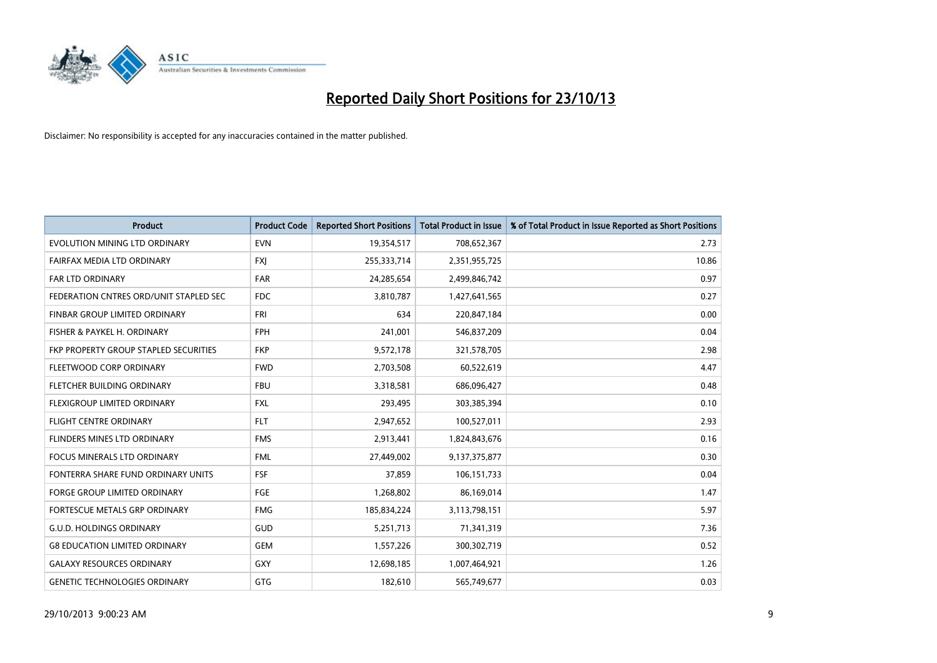

| <b>Product</b>                         | <b>Product Code</b> | <b>Reported Short Positions</b> | <b>Total Product in Issue</b> | % of Total Product in Issue Reported as Short Positions |
|----------------------------------------|---------------------|---------------------------------|-------------------------------|---------------------------------------------------------|
| EVOLUTION MINING LTD ORDINARY          | <b>EVN</b>          | 19,354,517                      | 708,652,367                   | 2.73                                                    |
| FAIRFAX MEDIA LTD ORDINARY             | <b>FXJ</b>          | 255,333,714                     | 2,351,955,725                 | 10.86                                                   |
| <b>FAR LTD ORDINARY</b>                | <b>FAR</b>          | 24,285,654                      | 2,499,846,742                 | 0.97                                                    |
| FEDERATION CNTRES ORD/UNIT STAPLED SEC | <b>FDC</b>          | 3,810,787                       | 1,427,641,565                 | 0.27                                                    |
| FINBAR GROUP LIMITED ORDINARY          | <b>FRI</b>          | 634                             | 220,847,184                   | 0.00                                                    |
| FISHER & PAYKEL H. ORDINARY            | <b>FPH</b>          | 241,001                         | 546,837,209                   | 0.04                                                    |
| FKP PROPERTY GROUP STAPLED SECURITIES  | <b>FKP</b>          | 9,572,178                       | 321,578,705                   | 2.98                                                    |
| FLEETWOOD CORP ORDINARY                | <b>FWD</b>          | 2,703,508                       | 60,522,619                    | 4.47                                                    |
| FLETCHER BUILDING ORDINARY             | <b>FBU</b>          | 3,318,581                       | 686,096,427                   | 0.48                                                    |
| FLEXIGROUP LIMITED ORDINARY            | <b>FXL</b>          | 293,495                         | 303,385,394                   | 0.10                                                    |
| <b>FLIGHT CENTRE ORDINARY</b>          | <b>FLT</b>          | 2,947,652                       | 100,527,011                   | 2.93                                                    |
| FLINDERS MINES LTD ORDINARY            | <b>FMS</b>          | 2,913,441                       | 1,824,843,676                 | 0.16                                                    |
| <b>FOCUS MINERALS LTD ORDINARY</b>     | <b>FML</b>          | 27,449,002                      | 9,137,375,877                 | 0.30                                                    |
| FONTERRA SHARE FUND ORDINARY UNITS     | <b>FSF</b>          | 37,859                          | 106,151,733                   | 0.04                                                    |
| <b>FORGE GROUP LIMITED ORDINARY</b>    | FGE                 | 1,268,802                       | 86,169,014                    | 1.47                                                    |
| FORTESCUE METALS GRP ORDINARY          | <b>FMG</b>          | 185,834,224                     | 3,113,798,151                 | 5.97                                                    |
| <b>G.U.D. HOLDINGS ORDINARY</b>        | GUD                 | 5,251,713                       | 71,341,319                    | 7.36                                                    |
| <b>G8 EDUCATION LIMITED ORDINARY</b>   | <b>GEM</b>          | 1,557,226                       | 300,302,719                   | 0.52                                                    |
| <b>GALAXY RESOURCES ORDINARY</b>       | GXY                 | 12,698,185                      | 1,007,464,921                 | 1.26                                                    |
| <b>GENETIC TECHNOLOGIES ORDINARY</b>   | GTG                 | 182,610                         | 565,749,677                   | 0.03                                                    |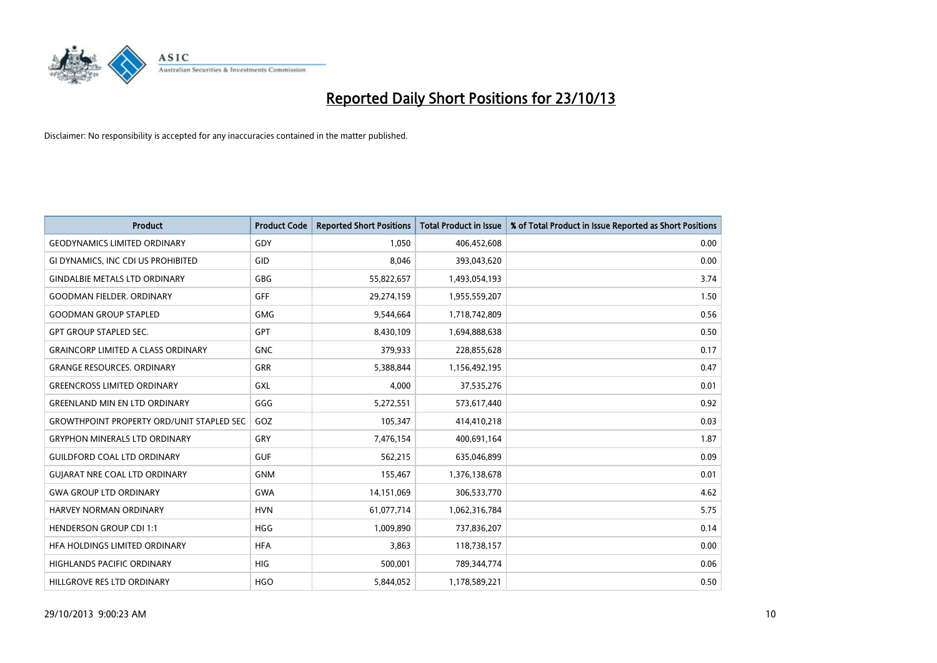

| <b>Product</b>                                   | <b>Product Code</b> | <b>Reported Short Positions</b> | <b>Total Product in Issue</b> | % of Total Product in Issue Reported as Short Positions |
|--------------------------------------------------|---------------------|---------------------------------|-------------------------------|---------------------------------------------------------|
| <b>GEODYNAMICS LIMITED ORDINARY</b>              | GDY                 | 1,050                           | 406,452,608                   | 0.00                                                    |
| GI DYNAMICS, INC CDI US PROHIBITED               | GID                 | 8,046                           | 393,043,620                   | 0.00                                                    |
| <b>GINDALBIE METALS LTD ORDINARY</b>             | <b>GBG</b>          | 55,822,657                      | 1,493,054,193                 | 3.74                                                    |
| <b>GOODMAN FIELDER. ORDINARY</b>                 | <b>GFF</b>          | 29,274,159                      | 1,955,559,207                 | 1.50                                                    |
| <b>GOODMAN GROUP STAPLED</b>                     | <b>GMG</b>          | 9,544,664                       | 1,718,742,809                 | 0.56                                                    |
| <b>GPT GROUP STAPLED SEC.</b>                    | GPT                 | 8,430,109                       | 1,694,888,638                 | 0.50                                                    |
| <b>GRAINCORP LIMITED A CLASS ORDINARY</b>        | <b>GNC</b>          | 379,933                         | 228,855,628                   | 0.17                                                    |
| <b>GRANGE RESOURCES. ORDINARY</b>                | GRR                 | 5,388,844                       | 1,156,492,195                 | 0.47                                                    |
| <b>GREENCROSS LIMITED ORDINARY</b>               | GXL                 | 4,000                           | 37,535,276                    | 0.01                                                    |
| <b>GREENLAND MIN EN LTD ORDINARY</b>             | GGG                 | 5,272,551                       | 573,617,440                   | 0.92                                                    |
| <b>GROWTHPOINT PROPERTY ORD/UNIT STAPLED SEC</b> | GOZ                 | 105,347                         | 414,410,218                   | 0.03                                                    |
| <b>GRYPHON MINERALS LTD ORDINARY</b>             | <b>GRY</b>          | 7,476,154                       | 400,691,164                   | 1.87                                                    |
| <b>GUILDFORD COAL LTD ORDINARY</b>               | <b>GUF</b>          | 562,215                         | 635,046,899                   | 0.09                                                    |
| <b>GUIARAT NRE COAL LTD ORDINARY</b>             | <b>GNM</b>          | 155,467                         | 1,376,138,678                 | 0.01                                                    |
| <b>GWA GROUP LTD ORDINARY</b>                    | <b>GWA</b>          | 14,151,069                      | 306,533,770                   | 4.62                                                    |
| <b>HARVEY NORMAN ORDINARY</b>                    | <b>HVN</b>          | 61,077,714                      | 1,062,316,784                 | 5.75                                                    |
| <b>HENDERSON GROUP CDI 1:1</b>                   | <b>HGG</b>          | 1,009,890                       | 737,836,207                   | 0.14                                                    |
| HFA HOLDINGS LIMITED ORDINARY                    | <b>HFA</b>          | 3,863                           | 118,738,157                   | 0.00                                                    |
| <b>HIGHLANDS PACIFIC ORDINARY</b>                | <b>HIG</b>          | 500,001                         | 789,344,774                   | 0.06                                                    |
| HILLGROVE RES LTD ORDINARY                       | <b>HGO</b>          | 5,844,052                       | 1,178,589,221                 | 0.50                                                    |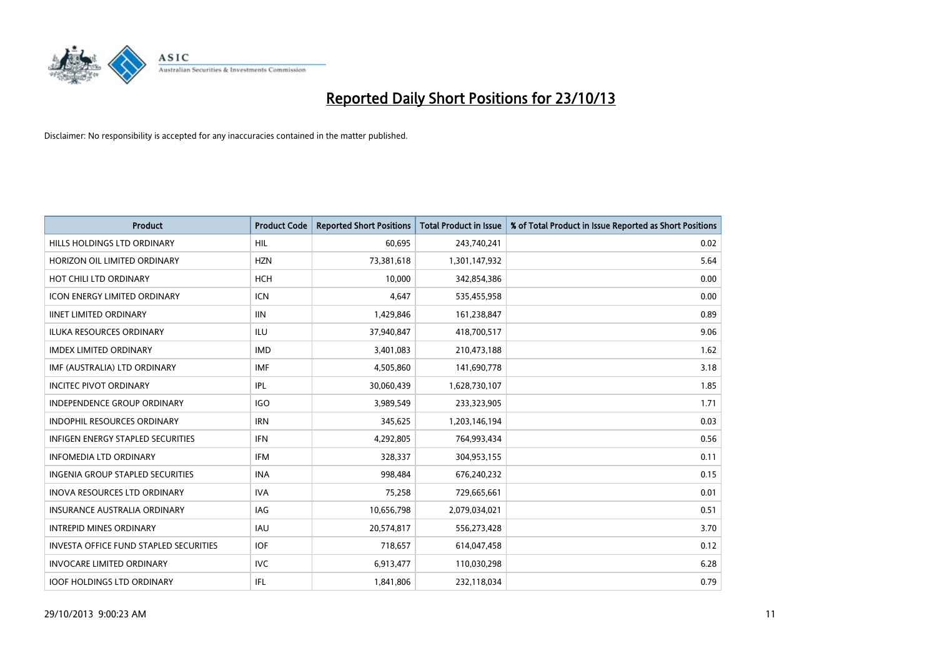

| <b>Product</b>                                | <b>Product Code</b> | <b>Reported Short Positions</b> | <b>Total Product in Issue</b> | % of Total Product in Issue Reported as Short Positions |
|-----------------------------------------------|---------------------|---------------------------------|-------------------------------|---------------------------------------------------------|
| HILLS HOLDINGS LTD ORDINARY                   | <b>HIL</b>          | 60,695                          | 243,740,241                   | 0.02                                                    |
| HORIZON OIL LIMITED ORDINARY                  | <b>HZN</b>          | 73,381,618                      | 1,301,147,932                 | 5.64                                                    |
| HOT CHILI LTD ORDINARY                        | <b>HCH</b>          | 10,000                          | 342,854,386                   | 0.00                                                    |
| <b>ICON ENERGY LIMITED ORDINARY</b>           | <b>ICN</b>          | 4,647                           | 535,455,958                   | 0.00                                                    |
| <b>IINET LIMITED ORDINARY</b>                 | <b>IIN</b>          | 1,429,846                       | 161,238,847                   | 0.89                                                    |
| <b>ILUKA RESOURCES ORDINARY</b>               | <b>ILU</b>          | 37,940,847                      | 418,700,517                   | 9.06                                                    |
| <b>IMDEX LIMITED ORDINARY</b>                 | <b>IMD</b>          | 3,401,083                       | 210,473,188                   | 1.62                                                    |
| IMF (AUSTRALIA) LTD ORDINARY                  | <b>IMF</b>          | 4,505,860                       | 141,690,778                   | 3.18                                                    |
| <b>INCITEC PIVOT ORDINARY</b>                 | IPL                 | 30,060,439                      | 1,628,730,107                 | 1.85                                                    |
| <b>INDEPENDENCE GROUP ORDINARY</b>            | <b>IGO</b>          | 3,989,549                       | 233,323,905                   | 1.71                                                    |
| INDOPHIL RESOURCES ORDINARY                   | <b>IRN</b>          | 345,625                         | 1,203,146,194                 | 0.03                                                    |
| <b>INFIGEN ENERGY STAPLED SECURITIES</b>      | <b>IFN</b>          | 4,292,805                       | 764,993,434                   | 0.56                                                    |
| <b>INFOMEDIA LTD ORDINARY</b>                 | <b>IFM</b>          | 328,337                         | 304,953,155                   | 0.11                                                    |
| <b>INGENIA GROUP STAPLED SECURITIES</b>       | <b>INA</b>          | 998,484                         | 676,240,232                   | 0.15                                                    |
| <b>INOVA RESOURCES LTD ORDINARY</b>           | <b>IVA</b>          | 75,258                          | 729,665,661                   | 0.01                                                    |
| <b>INSURANCE AUSTRALIA ORDINARY</b>           | IAG                 | 10,656,798                      | 2,079,034,021                 | 0.51                                                    |
| <b>INTREPID MINES ORDINARY</b>                | <b>IAU</b>          | 20,574,817                      | 556,273,428                   | 3.70                                                    |
| <b>INVESTA OFFICE FUND STAPLED SECURITIES</b> | <b>IOF</b>          | 718,657                         | 614,047,458                   | 0.12                                                    |
| <b>INVOCARE LIMITED ORDINARY</b>              | IVC                 | 6,913,477                       | 110,030,298                   | 6.28                                                    |
| <b>IOOF HOLDINGS LTD ORDINARY</b>             | IFL                 | 1,841,806                       | 232,118,034                   | 0.79                                                    |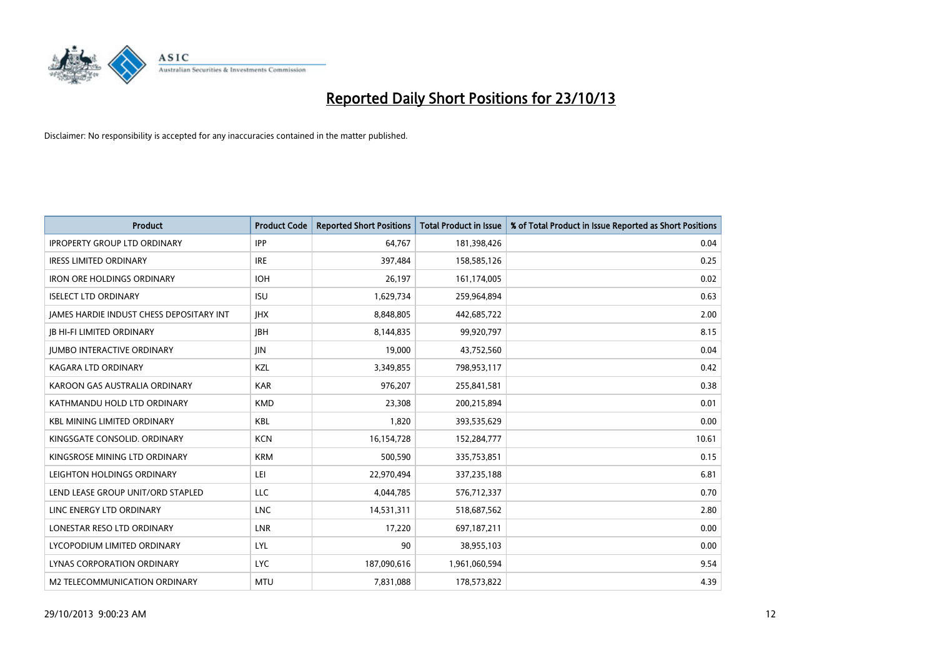

| <b>Product</b>                                  | <b>Product Code</b> | <b>Reported Short Positions</b> | <b>Total Product in Issue</b> | % of Total Product in Issue Reported as Short Positions |
|-------------------------------------------------|---------------------|---------------------------------|-------------------------------|---------------------------------------------------------|
| <b>IPROPERTY GROUP LTD ORDINARY</b>             | <b>IPP</b>          | 64,767                          | 181,398,426                   | 0.04                                                    |
| <b>IRESS LIMITED ORDINARY</b>                   | <b>IRE</b>          | 397,484                         | 158,585,126                   | 0.25                                                    |
| <b>IRON ORE HOLDINGS ORDINARY</b>               | <b>IOH</b>          | 26,197                          | 161,174,005                   | 0.02                                                    |
| <b>ISELECT LTD ORDINARY</b>                     | <b>ISU</b>          | 1,629,734                       | 259,964,894                   | 0.63                                                    |
| <b>IAMES HARDIE INDUST CHESS DEPOSITARY INT</b> | <b>IHX</b>          | 8,848,805                       | 442,685,722                   | 2.00                                                    |
| <b>JB HI-FI LIMITED ORDINARY</b>                | <b>IBH</b>          | 8,144,835                       | 99,920,797                    | 8.15                                                    |
| <b>JUMBO INTERACTIVE ORDINARY</b>               | JIN.                | 19,000                          | 43,752,560                    | 0.04                                                    |
| <b>KAGARA LTD ORDINARY</b>                      | KZL                 | 3,349,855                       | 798,953,117                   | 0.42                                                    |
| KAROON GAS AUSTRALIA ORDINARY                   | <b>KAR</b>          | 976,207                         | 255,841,581                   | 0.38                                                    |
| KATHMANDU HOLD LTD ORDINARY                     | <b>KMD</b>          | 23,308                          | 200,215,894                   | 0.01                                                    |
| <b>KBL MINING LIMITED ORDINARY</b>              | <b>KBL</b>          | 1,820                           | 393,535,629                   | 0.00                                                    |
| KINGSGATE CONSOLID. ORDINARY                    | <b>KCN</b>          | 16,154,728                      | 152,284,777                   | 10.61                                                   |
| KINGSROSE MINING LTD ORDINARY                   | <b>KRM</b>          | 500,590                         | 335,753,851                   | 0.15                                                    |
| LEIGHTON HOLDINGS ORDINARY                      | LEI                 | 22,970,494                      | 337,235,188                   | 6.81                                                    |
| LEND LEASE GROUP UNIT/ORD STAPLED               | <b>LLC</b>          | 4,044,785                       | 576,712,337                   | 0.70                                                    |
| LINC ENERGY LTD ORDINARY                        | <b>LNC</b>          | 14,531,311                      | 518,687,562                   | 2.80                                                    |
| LONESTAR RESO LTD ORDINARY                      | LNR                 | 17,220                          | 697,187,211                   | 0.00                                                    |
| LYCOPODIUM LIMITED ORDINARY                     | <b>LYL</b>          | 90                              | 38,955,103                    | 0.00                                                    |
| LYNAS CORPORATION ORDINARY                      | <b>LYC</b>          | 187,090,616                     | 1,961,060,594                 | 9.54                                                    |
| M2 TELECOMMUNICATION ORDINARY                   | <b>MTU</b>          | 7,831,088                       | 178,573,822                   | 4.39                                                    |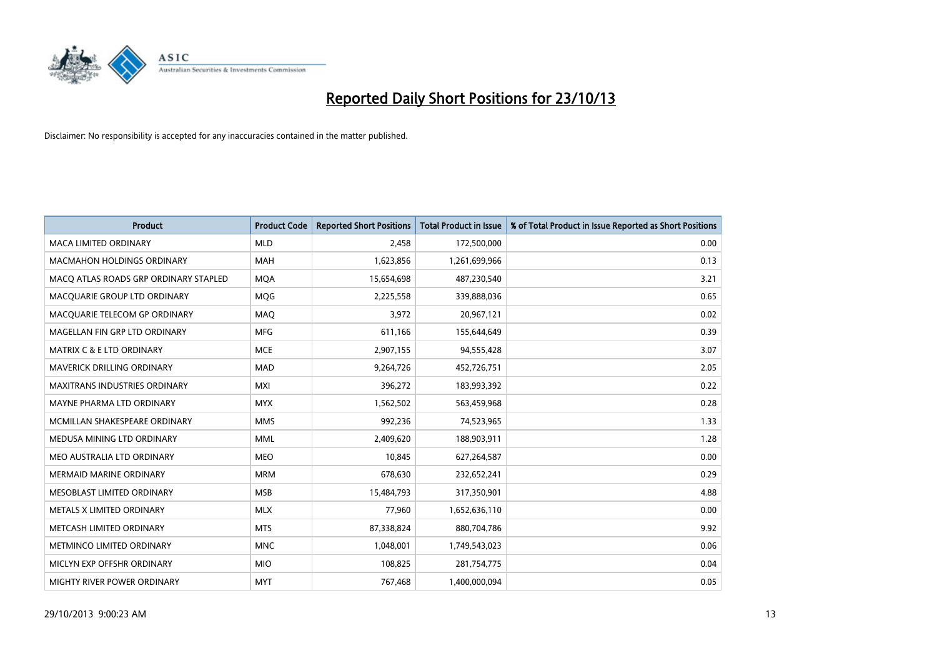

| <b>Product</b>                        | <b>Product Code</b> | <b>Reported Short Positions</b> | <b>Total Product in Issue</b> | % of Total Product in Issue Reported as Short Positions |
|---------------------------------------|---------------------|---------------------------------|-------------------------------|---------------------------------------------------------|
| <b>MACA LIMITED ORDINARY</b>          | <b>MLD</b>          | 2,458                           | 172,500,000                   | 0.00                                                    |
| <b>MACMAHON HOLDINGS ORDINARY</b>     | MAH                 | 1,623,856                       | 1,261,699,966                 | 0.13                                                    |
| MACO ATLAS ROADS GRP ORDINARY STAPLED | <b>MQA</b>          | 15,654,698                      | 487,230,540                   | 3.21                                                    |
| MACQUARIE GROUP LTD ORDINARY          | MQG                 | 2,225,558                       | 339,888,036                   | 0.65                                                    |
| MACQUARIE TELECOM GP ORDINARY         | MAQ                 | 3,972                           | 20,967,121                    | 0.02                                                    |
| MAGELLAN FIN GRP LTD ORDINARY         | <b>MFG</b>          | 611,166                         | 155,644,649                   | 0.39                                                    |
| <b>MATRIX C &amp; E LTD ORDINARY</b>  | <b>MCE</b>          | 2,907,155                       | 94,555,428                    | 3.07                                                    |
| MAVERICK DRILLING ORDINARY            | MAD                 | 9,264,726                       | 452,726,751                   | 2.05                                                    |
| MAXITRANS INDUSTRIES ORDINARY         | <b>MXI</b>          | 396,272                         | 183,993,392                   | 0.22                                                    |
| MAYNE PHARMA LTD ORDINARY             | <b>MYX</b>          | 1,562,502                       | 563,459,968                   | 0.28                                                    |
| MCMILLAN SHAKESPEARE ORDINARY         | <b>MMS</b>          | 992,236                         | 74,523,965                    | 1.33                                                    |
| MEDUSA MINING LTD ORDINARY            | <b>MML</b>          | 2,409,620                       | 188,903,911                   | 1.28                                                    |
| MEO AUSTRALIA LTD ORDINARY            | <b>MEO</b>          | 10,845                          | 627,264,587                   | 0.00                                                    |
| <b>MERMAID MARINE ORDINARY</b>        | <b>MRM</b>          | 678,630                         | 232,652,241                   | 0.29                                                    |
| MESOBLAST LIMITED ORDINARY            | <b>MSB</b>          | 15,484,793                      | 317,350,901                   | 4.88                                                    |
| METALS X LIMITED ORDINARY             | <b>MLX</b>          | 77,960                          | 1,652,636,110                 | 0.00                                                    |
| METCASH LIMITED ORDINARY              | <b>MTS</b>          | 87,338,824                      | 880,704,786                   | 9.92                                                    |
| METMINCO LIMITED ORDINARY             | <b>MNC</b>          | 1,048,001                       | 1,749,543,023                 | 0.06                                                    |
| MICLYN EXP OFFSHR ORDINARY            | <b>MIO</b>          | 108,825                         | 281,754,775                   | 0.04                                                    |
| MIGHTY RIVER POWER ORDINARY           | <b>MYT</b>          | 767,468                         | 1,400,000,094                 | 0.05                                                    |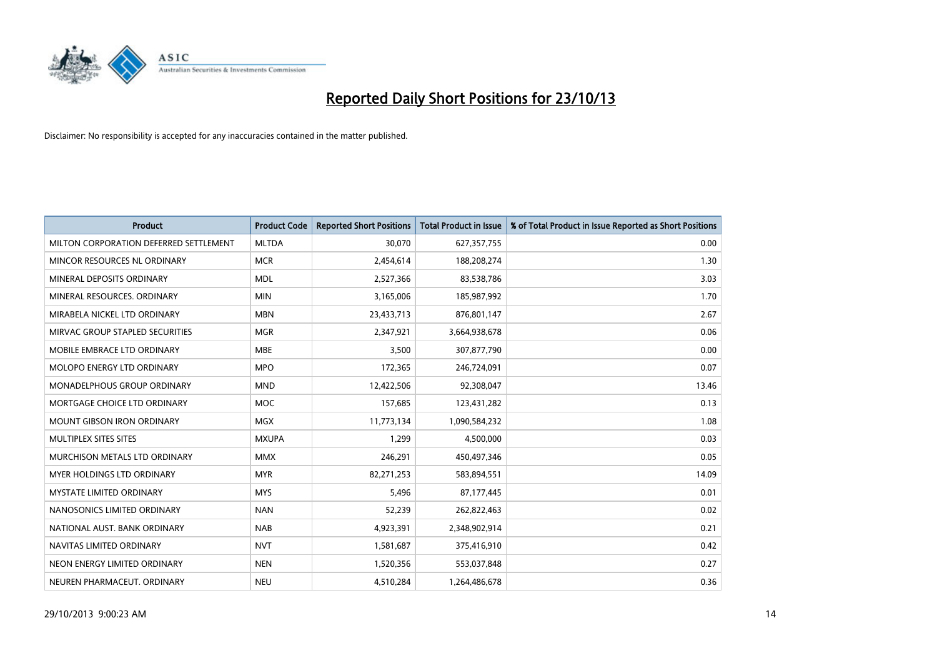

| <b>Product</b>                         | <b>Product Code</b> | <b>Reported Short Positions</b> | <b>Total Product in Issue</b> | % of Total Product in Issue Reported as Short Positions |
|----------------------------------------|---------------------|---------------------------------|-------------------------------|---------------------------------------------------------|
| MILTON CORPORATION DEFERRED SETTLEMENT | <b>MLTDA</b>        | 30,070                          | 627,357,755                   | 0.00                                                    |
| MINCOR RESOURCES NL ORDINARY           | <b>MCR</b>          | 2,454,614                       | 188,208,274                   | 1.30                                                    |
| MINERAL DEPOSITS ORDINARY              | <b>MDL</b>          | 2,527,366                       | 83,538,786                    | 3.03                                                    |
| MINERAL RESOURCES. ORDINARY            | <b>MIN</b>          | 3,165,006                       | 185,987,992                   | 1.70                                                    |
| MIRABELA NICKEL LTD ORDINARY           | <b>MBN</b>          | 23,433,713                      | 876,801,147                   | 2.67                                                    |
| MIRVAC GROUP STAPLED SECURITIES        | <b>MGR</b>          | 2,347,921                       | 3,664,938,678                 | 0.06                                                    |
| MOBILE EMBRACE LTD ORDINARY            | <b>MBE</b>          | 3,500                           | 307,877,790                   | 0.00                                                    |
| MOLOPO ENERGY LTD ORDINARY             | <b>MPO</b>          | 172,365                         | 246,724,091                   | 0.07                                                    |
| MONADELPHOUS GROUP ORDINARY            | <b>MND</b>          | 12,422,506                      | 92,308,047                    | 13.46                                                   |
| MORTGAGE CHOICE LTD ORDINARY           | <b>MOC</b>          | 157,685                         | 123,431,282                   | 0.13                                                    |
| <b>MOUNT GIBSON IRON ORDINARY</b>      | MGX                 | 11,773,134                      | 1,090,584,232                 | 1.08                                                    |
| MULTIPLEX SITES SITES                  | <b>MXUPA</b>        | 1,299                           | 4,500,000                     | 0.03                                                    |
| MURCHISON METALS LTD ORDINARY          | <b>MMX</b>          | 246,291                         | 450,497,346                   | 0.05                                                    |
| MYER HOLDINGS LTD ORDINARY             | <b>MYR</b>          | 82,271,253                      | 583,894,551                   | 14.09                                                   |
| <b>MYSTATE LIMITED ORDINARY</b>        | <b>MYS</b>          | 5,496                           | 87,177,445                    | 0.01                                                    |
| NANOSONICS LIMITED ORDINARY            | <b>NAN</b>          | 52,239                          | 262,822,463                   | 0.02                                                    |
| NATIONAL AUST. BANK ORDINARY           | <b>NAB</b>          | 4,923,391                       | 2,348,902,914                 | 0.21                                                    |
| NAVITAS LIMITED ORDINARY               | <b>NVT</b>          | 1,581,687                       | 375,416,910                   | 0.42                                                    |
| NEON ENERGY LIMITED ORDINARY           | <b>NEN</b>          | 1,520,356                       | 553,037,848                   | 0.27                                                    |
| NEUREN PHARMACEUT. ORDINARY            | <b>NEU</b>          | 4,510,284                       | 1,264,486,678                 | 0.36                                                    |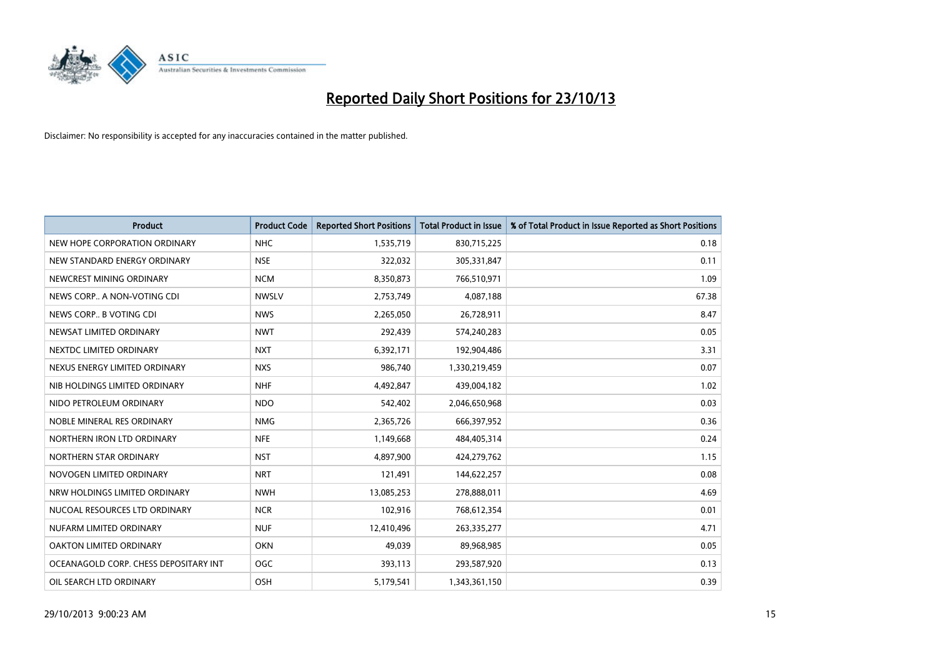

| <b>Product</b>                        | <b>Product Code</b> | <b>Reported Short Positions</b> | <b>Total Product in Issue</b> | % of Total Product in Issue Reported as Short Positions |
|---------------------------------------|---------------------|---------------------------------|-------------------------------|---------------------------------------------------------|
| NEW HOPE CORPORATION ORDINARY         | <b>NHC</b>          | 1,535,719                       | 830,715,225                   | 0.18                                                    |
| NEW STANDARD ENERGY ORDINARY          | <b>NSE</b>          | 322,032                         | 305,331,847                   | 0.11                                                    |
| NEWCREST MINING ORDINARY              | <b>NCM</b>          | 8,350,873                       | 766,510,971                   | 1.09                                                    |
| NEWS CORP A NON-VOTING CDI            | <b>NWSLV</b>        | 2,753,749                       | 4,087,188                     | 67.38                                                   |
| NEWS CORP B VOTING CDI                | <b>NWS</b>          | 2,265,050                       | 26,728,911                    | 8.47                                                    |
| NEWSAT LIMITED ORDINARY               | <b>NWT</b>          | 292,439                         | 574,240,283                   | 0.05                                                    |
| NEXTDC LIMITED ORDINARY               | <b>NXT</b>          | 6,392,171                       | 192,904,486                   | 3.31                                                    |
| NEXUS ENERGY LIMITED ORDINARY         | <b>NXS</b>          | 986,740                         | 1,330,219,459                 | 0.07                                                    |
| NIB HOLDINGS LIMITED ORDINARY         | <b>NHF</b>          | 4,492,847                       | 439,004,182                   | 1.02                                                    |
| NIDO PETROLEUM ORDINARY               | <b>NDO</b>          | 542,402                         | 2,046,650,968                 | 0.03                                                    |
| NOBLE MINERAL RES ORDINARY            | <b>NMG</b>          | 2,365,726                       | 666,397,952                   | 0.36                                                    |
| NORTHERN IRON LTD ORDINARY            | <b>NFE</b>          | 1,149,668                       | 484,405,314                   | 0.24                                                    |
| NORTHERN STAR ORDINARY                | <b>NST</b>          | 4,897,900                       | 424,279,762                   | 1.15                                                    |
| NOVOGEN LIMITED ORDINARY              | <b>NRT</b>          | 121,491                         | 144,622,257                   | 0.08                                                    |
| NRW HOLDINGS LIMITED ORDINARY         | <b>NWH</b>          | 13,085,253                      | 278,888,011                   | 4.69                                                    |
| NUCOAL RESOURCES LTD ORDINARY         | <b>NCR</b>          | 102,916                         | 768,612,354                   | 0.01                                                    |
| NUFARM LIMITED ORDINARY               | <b>NUF</b>          | 12,410,496                      | 263,335,277                   | 4.71                                                    |
| <b>OAKTON LIMITED ORDINARY</b>        | <b>OKN</b>          | 49,039                          | 89,968,985                    | 0.05                                                    |
| OCEANAGOLD CORP. CHESS DEPOSITARY INT | <b>OGC</b>          | 393,113                         | 293,587,920                   | 0.13                                                    |
| OIL SEARCH LTD ORDINARY               | OSH                 | 5,179,541                       | 1,343,361,150                 | 0.39                                                    |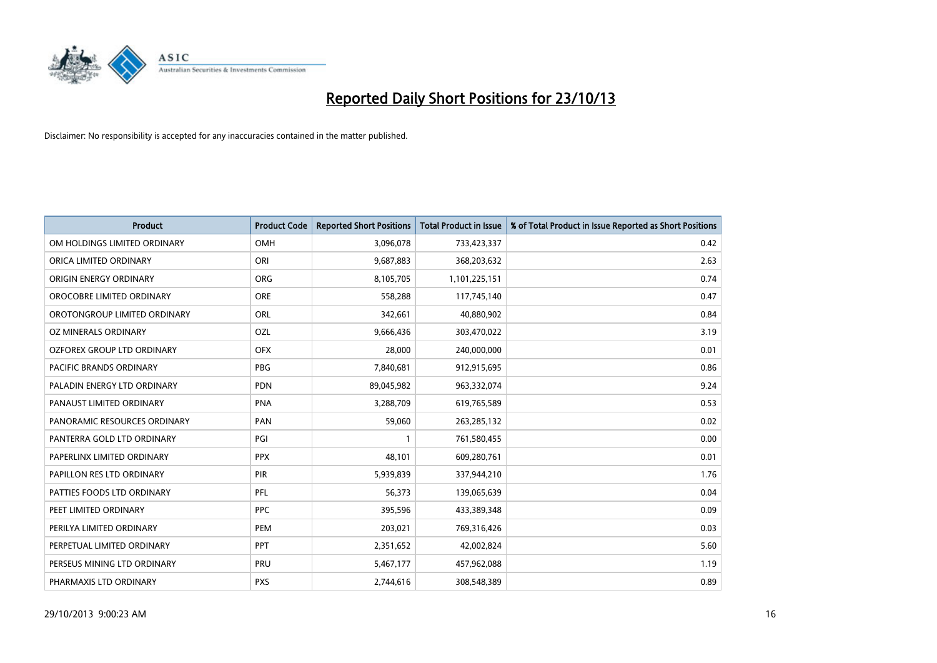

| <b>Product</b>               | <b>Product Code</b> | <b>Reported Short Positions</b> | <b>Total Product in Issue</b> | % of Total Product in Issue Reported as Short Positions |
|------------------------------|---------------------|---------------------------------|-------------------------------|---------------------------------------------------------|
| OM HOLDINGS LIMITED ORDINARY | <b>OMH</b>          | 3,096,078                       | 733,423,337                   | 0.42                                                    |
| ORICA LIMITED ORDINARY       | ORI                 | 9,687,883                       | 368,203,632                   | 2.63                                                    |
| ORIGIN ENERGY ORDINARY       | <b>ORG</b>          | 8,105,705                       | 1,101,225,151                 | 0.74                                                    |
| OROCOBRE LIMITED ORDINARY    | <b>ORE</b>          | 558,288                         | 117,745,140                   | 0.47                                                    |
| OROTONGROUP LIMITED ORDINARY | ORL                 | 342,661                         | 40,880,902                    | 0.84                                                    |
| OZ MINERALS ORDINARY         | OZL                 | 9,666,436                       | 303,470,022                   | 3.19                                                    |
| OZFOREX GROUP LTD ORDINARY   | <b>OFX</b>          | 28,000                          | 240,000,000                   | 0.01                                                    |
| PACIFIC BRANDS ORDINARY      | <b>PBG</b>          | 7,840,681                       | 912,915,695                   | 0.86                                                    |
| PALADIN ENERGY LTD ORDINARY  | <b>PDN</b>          | 89,045,982                      | 963,332,074                   | 9.24                                                    |
| PANAUST LIMITED ORDINARY     | <b>PNA</b>          | 3,288,709                       | 619,765,589                   | 0.53                                                    |
| PANORAMIC RESOURCES ORDINARY | PAN                 | 59,060                          | 263,285,132                   | 0.02                                                    |
| PANTERRA GOLD LTD ORDINARY   | PGI                 |                                 | 761,580,455                   | 0.00                                                    |
| PAPERLINX LIMITED ORDINARY   | <b>PPX</b>          | 48,101                          | 609,280,761                   | 0.01                                                    |
| PAPILLON RES LTD ORDINARY    | PIR                 | 5,939,839                       | 337,944,210                   | 1.76                                                    |
| PATTIES FOODS LTD ORDINARY   | PFL                 | 56,373                          | 139,065,639                   | 0.04                                                    |
| PEET LIMITED ORDINARY        | <b>PPC</b>          | 395,596                         | 433,389,348                   | 0.09                                                    |
| PERILYA LIMITED ORDINARY     | PEM                 | 203,021                         | 769,316,426                   | 0.03                                                    |
| PERPETUAL LIMITED ORDINARY   | PPT                 | 2,351,652                       | 42,002,824                    | 5.60                                                    |
| PERSEUS MINING LTD ORDINARY  | PRU                 | 5,467,177                       | 457,962,088                   | 1.19                                                    |
| PHARMAXIS LTD ORDINARY       | <b>PXS</b>          | 2,744,616                       | 308,548,389                   | 0.89                                                    |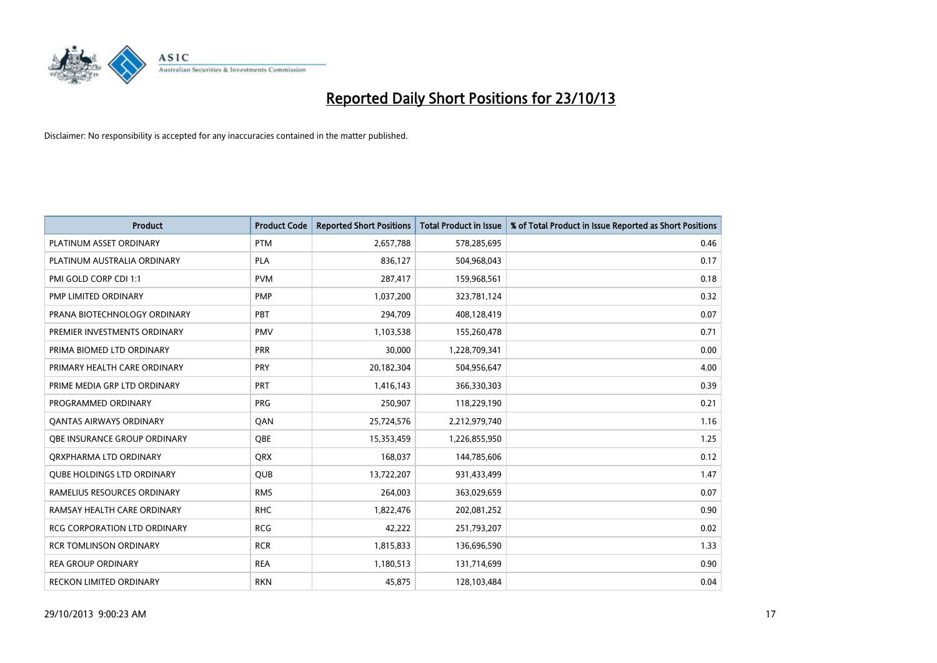

| <b>Product</b>                      | <b>Product Code</b> | <b>Reported Short Positions</b> | <b>Total Product in Issue</b> | % of Total Product in Issue Reported as Short Positions |
|-------------------------------------|---------------------|---------------------------------|-------------------------------|---------------------------------------------------------|
| PLATINUM ASSET ORDINARY             | <b>PTM</b>          | 2,657,788                       | 578,285,695                   | 0.46                                                    |
| PLATINUM AUSTRALIA ORDINARY         | <b>PLA</b>          | 836,127                         | 504,968,043                   | 0.17                                                    |
| PMI GOLD CORP CDI 1:1               | <b>PVM</b>          | 287,417                         | 159,968,561                   | 0.18                                                    |
| PMP LIMITED ORDINARY                | <b>PMP</b>          | 1,037,200                       | 323,781,124                   | 0.32                                                    |
| PRANA BIOTECHNOLOGY ORDINARY        | PBT                 | 294,709                         | 408,128,419                   | 0.07                                                    |
| PREMIER INVESTMENTS ORDINARY        | <b>PMV</b>          | 1,103,538                       | 155,260,478                   | 0.71                                                    |
| PRIMA BIOMED LTD ORDINARY           | <b>PRR</b>          | 30,000                          | 1,228,709,341                 | 0.00                                                    |
| PRIMARY HEALTH CARE ORDINARY        | <b>PRY</b>          | 20,182,304                      | 504,956,647                   | 4.00                                                    |
| PRIME MEDIA GRP LTD ORDINARY        | <b>PRT</b>          | 1,416,143                       | 366,330,303                   | 0.39                                                    |
| PROGRAMMED ORDINARY                 | <b>PRG</b>          | 250,907                         | 118,229,190                   | 0.21                                                    |
| <b>QANTAS AIRWAYS ORDINARY</b>      | QAN                 | 25,724,576                      | 2,212,979,740                 | 1.16                                                    |
| <b>OBE INSURANCE GROUP ORDINARY</b> | <b>OBE</b>          | 15,353,459                      | 1,226,855,950                 | 1.25                                                    |
| ORXPHARMA LTD ORDINARY              | QRX                 | 168,037                         | 144,785,606                   | 0.12                                                    |
| <b>QUBE HOLDINGS LTD ORDINARY</b>   | QUB                 | 13,722,207                      | 931,433,499                   | 1.47                                                    |
| RAMELIUS RESOURCES ORDINARY         | <b>RMS</b>          | 264,003                         | 363,029,659                   | 0.07                                                    |
| RAMSAY HEALTH CARE ORDINARY         | <b>RHC</b>          | 1,822,476                       | 202,081,252                   | 0.90                                                    |
| <b>RCG CORPORATION LTD ORDINARY</b> | <b>RCG</b>          | 42,222                          | 251,793,207                   | 0.02                                                    |
| <b>RCR TOMLINSON ORDINARY</b>       | <b>RCR</b>          | 1,815,833                       | 136,696,590                   | 1.33                                                    |
| <b>REA GROUP ORDINARY</b>           | <b>REA</b>          | 1,180,513                       | 131,714,699                   | 0.90                                                    |
| RECKON LIMITED ORDINARY             | <b>RKN</b>          | 45,875                          | 128,103,484                   | 0.04                                                    |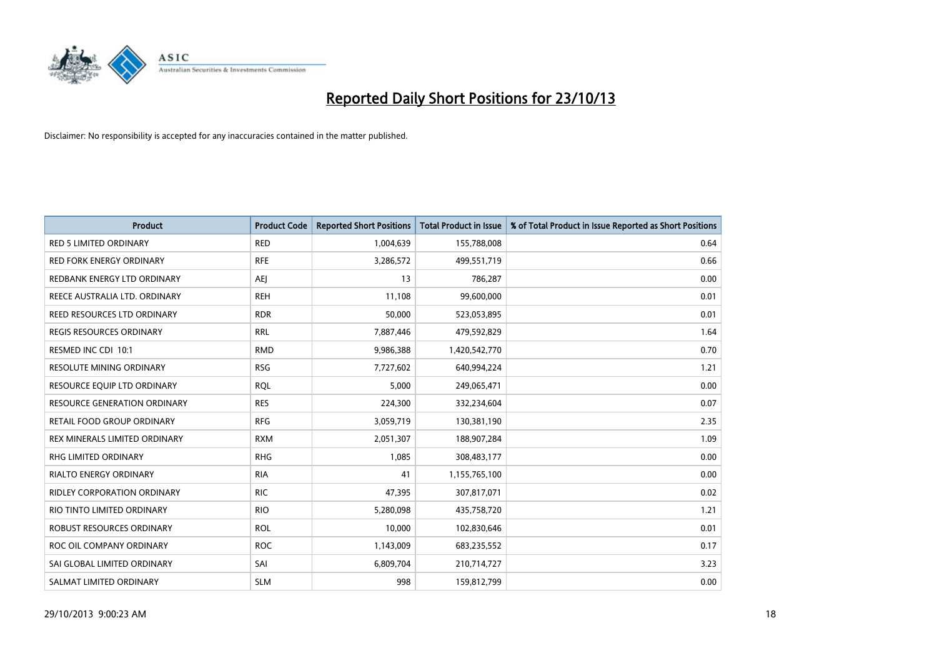

| <b>Product</b>                      | <b>Product Code</b> | <b>Reported Short Positions</b> | <b>Total Product in Issue</b> | % of Total Product in Issue Reported as Short Positions |
|-------------------------------------|---------------------|---------------------------------|-------------------------------|---------------------------------------------------------|
| <b>RED 5 LIMITED ORDINARY</b>       | <b>RED</b>          | 1,004,639                       | 155,788,008                   | 0.64                                                    |
| <b>RED FORK ENERGY ORDINARY</b>     | <b>RFE</b>          | 3,286,572                       | 499,551,719                   | 0.66                                                    |
| REDBANK ENERGY LTD ORDINARY         | AEJ                 | 13                              | 786,287                       | 0.00                                                    |
| REECE AUSTRALIA LTD. ORDINARY       | <b>REH</b>          | 11,108                          | 99,600,000                    | 0.01                                                    |
| REED RESOURCES LTD ORDINARY         | <b>RDR</b>          | 50,000                          | 523,053,895                   | 0.01                                                    |
| <b>REGIS RESOURCES ORDINARY</b>     | <b>RRL</b>          | 7,887,446                       | 479,592,829                   | 1.64                                                    |
| RESMED INC CDI 10:1                 | <b>RMD</b>          | 9,986,388                       | 1,420,542,770                 | 0.70                                                    |
| RESOLUTE MINING ORDINARY            | <b>RSG</b>          | 7,727,602                       | 640,994,224                   | 1.21                                                    |
| RESOURCE EQUIP LTD ORDINARY         | <b>ROL</b>          | 5,000                           | 249,065,471                   | 0.00                                                    |
| <b>RESOURCE GENERATION ORDINARY</b> | <b>RES</b>          | 224,300                         | 332,234,604                   | 0.07                                                    |
| <b>RETAIL FOOD GROUP ORDINARY</b>   | <b>RFG</b>          | 3,059,719                       | 130,381,190                   | 2.35                                                    |
| REX MINERALS LIMITED ORDINARY       | <b>RXM</b>          | 2,051,307                       | 188,907,284                   | 1.09                                                    |
| RHG LIMITED ORDINARY                | <b>RHG</b>          | 1,085                           | 308,483,177                   | 0.00                                                    |
| <b>RIALTO ENERGY ORDINARY</b>       | <b>RIA</b>          | 41                              | 1,155,765,100                 | 0.00                                                    |
| <b>RIDLEY CORPORATION ORDINARY</b>  | <b>RIC</b>          | 47,395                          | 307,817,071                   | 0.02                                                    |
| RIO TINTO LIMITED ORDINARY          | <b>RIO</b>          | 5,280,098                       | 435,758,720                   | 1.21                                                    |
| ROBUST RESOURCES ORDINARY           | <b>ROL</b>          | 10,000                          | 102,830,646                   | 0.01                                                    |
| ROC OIL COMPANY ORDINARY            | <b>ROC</b>          | 1,143,009                       | 683,235,552                   | 0.17                                                    |
| SAI GLOBAL LIMITED ORDINARY         | SAI                 | 6,809,704                       | 210,714,727                   | 3.23                                                    |
| SALMAT LIMITED ORDINARY             | <b>SLM</b>          | 998                             | 159,812,799                   | 0.00                                                    |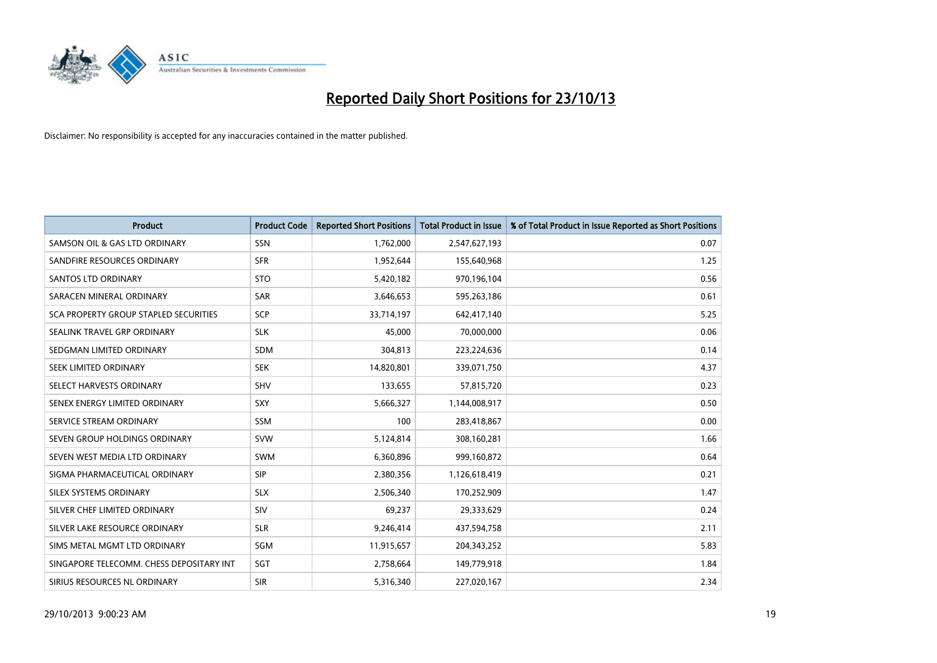

| <b>Product</b>                           | <b>Product Code</b> | <b>Reported Short Positions</b> | <b>Total Product in Issue</b> | % of Total Product in Issue Reported as Short Positions |
|------------------------------------------|---------------------|---------------------------------|-------------------------------|---------------------------------------------------------|
| SAMSON OIL & GAS LTD ORDINARY            | SSN                 | 1,762,000                       | 2,547,627,193                 | 0.07                                                    |
| SANDFIRE RESOURCES ORDINARY              | <b>SFR</b>          | 1,952,644                       | 155,640,968                   | 1.25                                                    |
| <b>SANTOS LTD ORDINARY</b>               | <b>STO</b>          | 5,420,182                       | 970,196,104                   | 0.56                                                    |
| SARACEN MINERAL ORDINARY                 | <b>SAR</b>          | 3,646,653                       | 595,263,186                   | 0.61                                                    |
| SCA PROPERTY GROUP STAPLED SECURITIES    | <b>SCP</b>          | 33,714,197                      | 642,417,140                   | 5.25                                                    |
| SEALINK TRAVEL GRP ORDINARY              | <b>SLK</b>          | 45,000                          | 70,000,000                    | 0.06                                                    |
| SEDGMAN LIMITED ORDINARY                 | SDM                 | 304,813                         | 223,224,636                   | 0.14                                                    |
| SEEK LIMITED ORDINARY                    | <b>SEK</b>          | 14,820,801                      | 339,071,750                   | 4.37                                                    |
| SELECT HARVESTS ORDINARY                 | SHV                 | 133,655                         | 57,815,720                    | 0.23                                                    |
| SENEX ENERGY LIMITED ORDINARY            | SXY                 | 5,666,327                       | 1,144,008,917                 | 0.50                                                    |
| SERVICE STREAM ORDINARY                  | <b>SSM</b>          | 100                             | 283,418,867                   | 0.00                                                    |
| SEVEN GROUP HOLDINGS ORDINARY            | <b>SVW</b>          | 5,124,814                       | 308,160,281                   | 1.66                                                    |
| SEVEN WEST MEDIA LTD ORDINARY            | <b>SWM</b>          | 6,360,896                       | 999,160,872                   | 0.64                                                    |
| SIGMA PHARMACEUTICAL ORDINARY            | <b>SIP</b>          | 2,380,356                       | 1,126,618,419                 | 0.21                                                    |
| SILEX SYSTEMS ORDINARY                   | <b>SLX</b>          | 2,506,340                       | 170,252,909                   | 1.47                                                    |
| SILVER CHEF LIMITED ORDINARY             | SIV                 | 69,237                          | 29,333,629                    | 0.24                                                    |
| SILVER LAKE RESOURCE ORDINARY            | <b>SLR</b>          | 9,246,414                       | 437,594,758                   | 2.11                                                    |
| SIMS METAL MGMT LTD ORDINARY             | SGM                 | 11,915,657                      | 204, 343, 252                 | 5.83                                                    |
| SINGAPORE TELECOMM. CHESS DEPOSITARY INT | SGT                 | 2,758,664                       | 149,779,918                   | 1.84                                                    |
| SIRIUS RESOURCES NL ORDINARY             | <b>SIR</b>          | 5,316,340                       | 227,020,167                   | 2.34                                                    |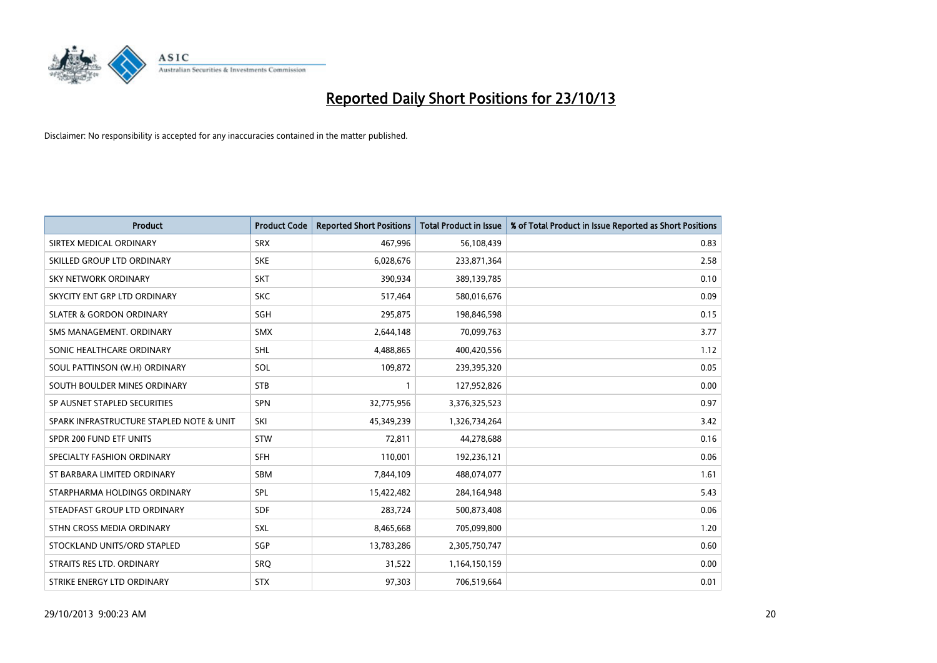

| <b>Product</b>                           | <b>Product Code</b> | <b>Reported Short Positions</b> | <b>Total Product in Issue</b> | % of Total Product in Issue Reported as Short Positions |
|------------------------------------------|---------------------|---------------------------------|-------------------------------|---------------------------------------------------------|
| SIRTEX MEDICAL ORDINARY                  | <b>SRX</b>          | 467,996                         | 56,108,439                    | 0.83                                                    |
| SKILLED GROUP LTD ORDINARY               | <b>SKE</b>          | 6,028,676                       | 233,871,364                   | 2.58                                                    |
| <b>SKY NETWORK ORDINARY</b>              | <b>SKT</b>          | 390,934                         | 389,139,785                   | 0.10                                                    |
| SKYCITY ENT GRP LTD ORDINARY             | <b>SKC</b>          | 517,464                         | 580,016,676                   | 0.09                                                    |
| <b>SLATER &amp; GORDON ORDINARY</b>      | SGH                 | 295,875                         | 198,846,598                   | 0.15                                                    |
| SMS MANAGEMENT, ORDINARY                 | <b>SMX</b>          | 2,644,148                       | 70,099,763                    | 3.77                                                    |
| SONIC HEALTHCARE ORDINARY                | SHL                 | 4,488,865                       | 400,420,556                   | 1.12                                                    |
| SOUL PATTINSON (W.H) ORDINARY            | SOL                 | 109,872                         | 239,395,320                   | 0.05                                                    |
| SOUTH BOULDER MINES ORDINARY             | <b>STB</b>          | $\mathbf{1}$                    | 127,952,826                   | 0.00                                                    |
| SP AUSNET STAPLED SECURITIES             | <b>SPN</b>          | 32,775,956                      | 3,376,325,523                 | 0.97                                                    |
| SPARK INFRASTRUCTURE STAPLED NOTE & UNIT | SKI                 | 45,349,239                      | 1,326,734,264                 | 3.42                                                    |
| SPDR 200 FUND ETF UNITS                  | <b>STW</b>          | 72,811                          | 44,278,688                    | 0.16                                                    |
| SPECIALTY FASHION ORDINARY               | <b>SFH</b>          | 110,001                         | 192,236,121                   | 0.06                                                    |
| ST BARBARA LIMITED ORDINARY              | <b>SBM</b>          | 7,844,109                       | 488,074,077                   | 1.61                                                    |
| STARPHARMA HOLDINGS ORDINARY             | <b>SPL</b>          | 15,422,482                      | 284,164,948                   | 5.43                                                    |
| STEADFAST GROUP LTD ORDINARY             | SDF                 | 283,724                         | 500,873,408                   | 0.06                                                    |
| STHN CROSS MEDIA ORDINARY                | SXL                 | 8,465,668                       | 705,099,800                   | 1.20                                                    |
| STOCKLAND UNITS/ORD STAPLED              | SGP                 | 13,783,286                      | 2,305,750,747                 | 0.60                                                    |
| STRAITS RES LTD. ORDINARY                | <b>SRQ</b>          | 31,522                          | 1,164,150,159                 | 0.00                                                    |
| STRIKE ENERGY LTD ORDINARY               | <b>STX</b>          | 97,303                          | 706,519,664                   | 0.01                                                    |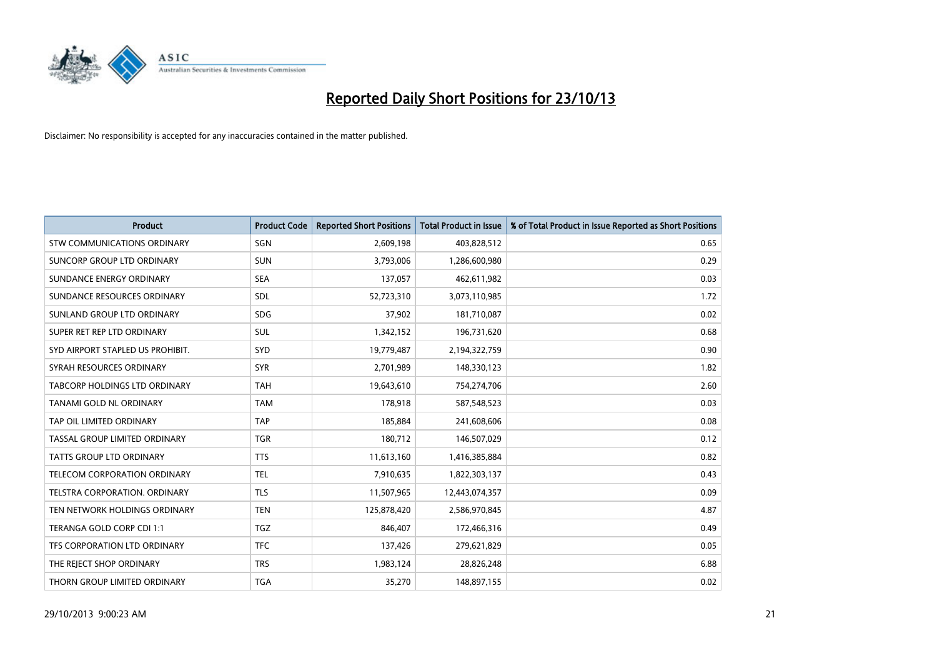

| <b>Product</b>                     | <b>Product Code</b> | <b>Reported Short Positions</b> | <b>Total Product in Issue</b> | % of Total Product in Issue Reported as Short Positions |
|------------------------------------|---------------------|---------------------------------|-------------------------------|---------------------------------------------------------|
| <b>STW COMMUNICATIONS ORDINARY</b> | SGN                 | 2,609,198                       | 403,828,512                   | 0.65                                                    |
| SUNCORP GROUP LTD ORDINARY         | <b>SUN</b>          | 3,793,006                       | 1,286,600,980                 | 0.29                                                    |
| SUNDANCE ENERGY ORDINARY           | <b>SEA</b>          | 137,057                         | 462,611,982                   | 0.03                                                    |
| SUNDANCE RESOURCES ORDINARY        | SDL                 | 52,723,310                      | 3,073,110,985                 | 1.72                                                    |
| SUNLAND GROUP LTD ORDINARY         | <b>SDG</b>          | 37,902                          | 181,710,087                   | 0.02                                                    |
| SUPER RET REP LTD ORDINARY         | SUL                 | 1,342,152                       | 196,731,620                   | 0.68                                                    |
| SYD AIRPORT STAPLED US PROHIBIT.   | <b>SYD</b>          | 19,779,487                      | 2,194,322,759                 | 0.90                                                    |
| SYRAH RESOURCES ORDINARY           | <b>SYR</b>          | 2,701,989                       | 148,330,123                   | 1.82                                                    |
| TABCORP HOLDINGS LTD ORDINARY      | <b>TAH</b>          | 19,643,610                      | 754,274,706                   | 2.60                                                    |
| TANAMI GOLD NL ORDINARY            | <b>TAM</b>          | 178,918                         | 587,548,523                   | 0.03                                                    |
| TAP OIL LIMITED ORDINARY           | <b>TAP</b>          | 185,884                         | 241,608,606                   | 0.08                                                    |
| TASSAL GROUP LIMITED ORDINARY      | <b>TGR</b>          | 180,712                         | 146,507,029                   | 0.12                                                    |
| TATTS GROUP LTD ORDINARY           | <b>TTS</b>          | 11,613,160                      | 1,416,385,884                 | 0.82                                                    |
| TELECOM CORPORATION ORDINARY       | <b>TEL</b>          | 7,910,635                       | 1,822,303,137                 | 0.43                                                    |
| TELSTRA CORPORATION, ORDINARY      | <b>TLS</b>          | 11,507,965                      | 12,443,074,357                | 0.09                                                    |
| TEN NETWORK HOLDINGS ORDINARY      | <b>TEN</b>          | 125,878,420                     | 2,586,970,845                 | 4.87                                                    |
| TERANGA GOLD CORP CDI 1:1          | <b>TGZ</b>          | 846,407                         | 172,466,316                   | 0.49                                                    |
| TFS CORPORATION LTD ORDINARY       | <b>TFC</b>          | 137,426                         | 279,621,829                   | 0.05                                                    |
| THE REJECT SHOP ORDINARY           | <b>TRS</b>          | 1,983,124                       | 28,826,248                    | 6.88                                                    |
| THORN GROUP LIMITED ORDINARY       | <b>TGA</b>          | 35,270                          | 148,897,155                   | 0.02                                                    |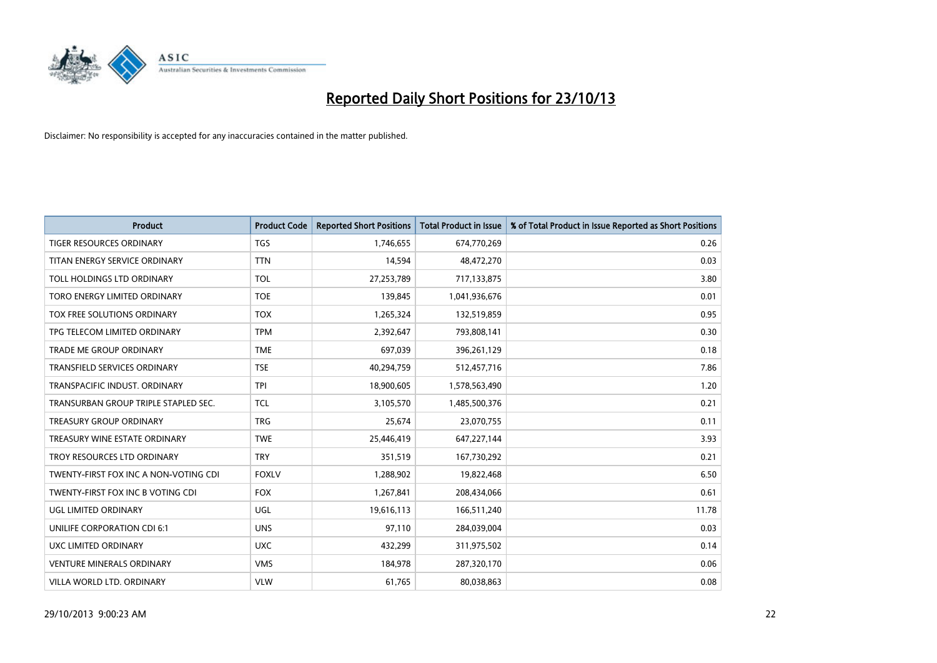

| <b>Product</b>                        | <b>Product Code</b> | <b>Reported Short Positions</b> | <b>Total Product in Issue</b> | % of Total Product in Issue Reported as Short Positions |
|---------------------------------------|---------------------|---------------------------------|-------------------------------|---------------------------------------------------------|
| <b>TIGER RESOURCES ORDINARY</b>       | <b>TGS</b>          | 1,746,655                       | 674,770,269                   | 0.26                                                    |
| TITAN ENERGY SERVICE ORDINARY         | <b>TTN</b>          | 14,594                          | 48,472,270                    | 0.03                                                    |
| TOLL HOLDINGS LTD ORDINARY            | <b>TOL</b>          | 27,253,789                      | 717,133,875                   | 3.80                                                    |
| TORO ENERGY LIMITED ORDINARY          | <b>TOE</b>          | 139,845                         | 1,041,936,676                 | 0.01                                                    |
| TOX FREE SOLUTIONS ORDINARY           | <b>TOX</b>          | 1,265,324                       | 132,519,859                   | 0.95                                                    |
| TPG TELECOM LIMITED ORDINARY          | <b>TPM</b>          | 2,392,647                       | 793,808,141                   | 0.30                                                    |
| TRADE ME GROUP ORDINARY               | <b>TME</b>          | 697,039                         | 396,261,129                   | 0.18                                                    |
| TRANSFIELD SERVICES ORDINARY          | <b>TSE</b>          | 40,294,759                      | 512,457,716                   | 7.86                                                    |
| TRANSPACIFIC INDUST, ORDINARY         | <b>TPI</b>          | 18,900,605                      | 1,578,563,490                 | 1.20                                                    |
| TRANSURBAN GROUP TRIPLE STAPLED SEC.  | <b>TCL</b>          | 3,105,570                       | 1,485,500,376                 | 0.21                                                    |
| TREASURY GROUP ORDINARY               | <b>TRG</b>          | 25,674                          | 23,070,755                    | 0.11                                                    |
| TREASURY WINE ESTATE ORDINARY         | <b>TWE</b>          | 25,446,419                      | 647,227,144                   | 3.93                                                    |
| TROY RESOURCES LTD ORDINARY           | <b>TRY</b>          | 351,519                         | 167,730,292                   | 0.21                                                    |
| TWENTY-FIRST FOX INC A NON-VOTING CDI | <b>FOXLV</b>        | 1,288,902                       | 19,822,468                    | 6.50                                                    |
| TWENTY-FIRST FOX INC B VOTING CDI     | <b>FOX</b>          | 1,267,841                       | 208,434,066                   | 0.61                                                    |
| UGL LIMITED ORDINARY                  | UGL                 | 19,616,113                      | 166,511,240                   | 11.78                                                   |
| UNILIFE CORPORATION CDI 6:1           | <b>UNS</b>          | 97,110                          | 284,039,004                   | 0.03                                                    |
| UXC LIMITED ORDINARY                  | <b>UXC</b>          | 432,299                         | 311,975,502                   | 0.14                                                    |
| <b>VENTURE MINERALS ORDINARY</b>      | <b>VMS</b>          | 184,978                         | 287,320,170                   | 0.06                                                    |
| VILLA WORLD LTD. ORDINARY             | <b>VLW</b>          | 61,765                          | 80,038,863                    | 0.08                                                    |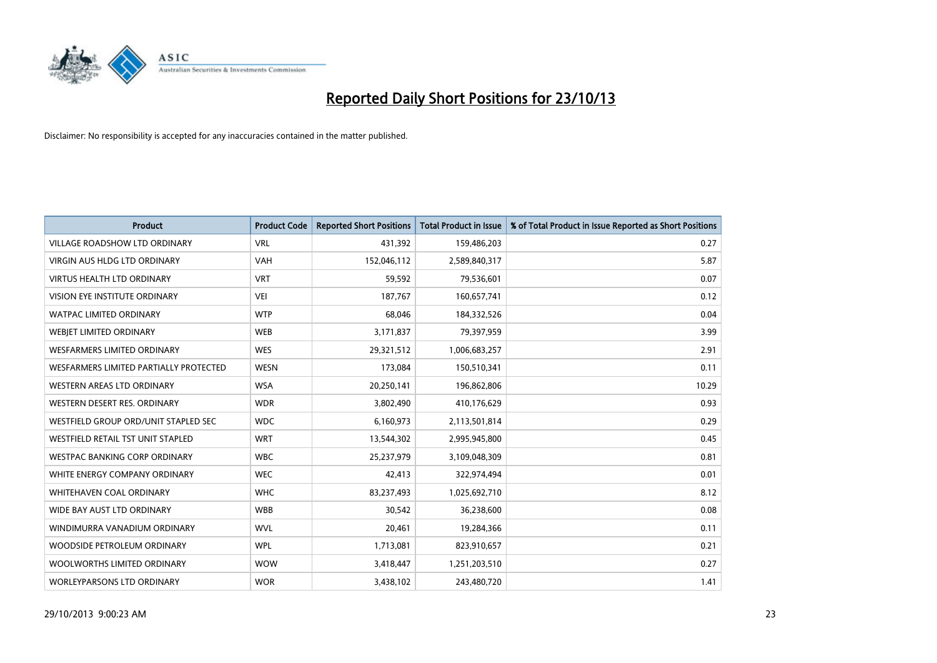

| <b>Product</b>                         | <b>Product Code</b> | <b>Reported Short Positions</b> | <b>Total Product in Issue</b> | % of Total Product in Issue Reported as Short Positions |
|----------------------------------------|---------------------|---------------------------------|-------------------------------|---------------------------------------------------------|
| <b>VILLAGE ROADSHOW LTD ORDINARY</b>   | <b>VRL</b>          | 431,392                         | 159,486,203                   | 0.27                                                    |
| <b>VIRGIN AUS HLDG LTD ORDINARY</b>    | <b>VAH</b>          | 152,046,112                     | 2,589,840,317                 | 5.87                                                    |
| <b>VIRTUS HEALTH LTD ORDINARY</b>      | <b>VRT</b>          | 59,592                          | 79,536,601                    | 0.07                                                    |
| <b>VISION EYE INSTITUTE ORDINARY</b>   | <b>VEI</b>          | 187,767                         | 160,657,741                   | 0.12                                                    |
| <b>WATPAC LIMITED ORDINARY</b>         | <b>WTP</b>          | 68,046                          | 184,332,526                   | 0.04                                                    |
| WEBJET LIMITED ORDINARY                | <b>WEB</b>          | 3,171,837                       | 79,397,959                    | 3.99                                                    |
| <b>WESFARMERS LIMITED ORDINARY</b>     | <b>WES</b>          | 29,321,512                      | 1,006,683,257                 | 2.91                                                    |
| WESFARMERS LIMITED PARTIALLY PROTECTED | <b>WESN</b>         | 173,084                         | 150,510,341                   | 0.11                                                    |
| <b>WESTERN AREAS LTD ORDINARY</b>      | <b>WSA</b>          | 20,250,141                      | 196,862,806                   | 10.29                                                   |
| WESTERN DESERT RES. ORDINARY           | <b>WDR</b>          | 3,802,490                       | 410,176,629                   | 0.93                                                    |
| WESTFIELD GROUP ORD/UNIT STAPLED SEC   | <b>WDC</b>          | 6,160,973                       | 2,113,501,814                 | 0.29                                                    |
| WESTFIELD RETAIL TST UNIT STAPLED      | <b>WRT</b>          | 13,544,302                      | 2,995,945,800                 | 0.45                                                    |
| <b>WESTPAC BANKING CORP ORDINARY</b>   | <b>WBC</b>          | 25,237,979                      | 3,109,048,309                 | 0.81                                                    |
| WHITE ENERGY COMPANY ORDINARY          | <b>WEC</b>          | 42,413                          | 322,974,494                   | 0.01                                                    |
| WHITEHAVEN COAL ORDINARY               | <b>WHC</b>          | 83,237,493                      | 1,025,692,710                 | 8.12                                                    |
| WIDE BAY AUST LTD ORDINARY             | <b>WBB</b>          | 30,542                          | 36,238,600                    | 0.08                                                    |
| WINDIMURRA VANADIUM ORDINARY           | <b>WVL</b>          | 20,461                          | 19,284,366                    | 0.11                                                    |
| WOODSIDE PETROLEUM ORDINARY            | <b>WPL</b>          | 1,713,081                       | 823,910,657                   | 0.21                                                    |
| WOOLWORTHS LIMITED ORDINARY            | <b>WOW</b>          | 3,418,447                       | 1,251,203,510                 | 0.27                                                    |
| <b>WORLEYPARSONS LTD ORDINARY</b>      | <b>WOR</b>          | 3,438,102                       | 243,480,720                   | 1.41                                                    |